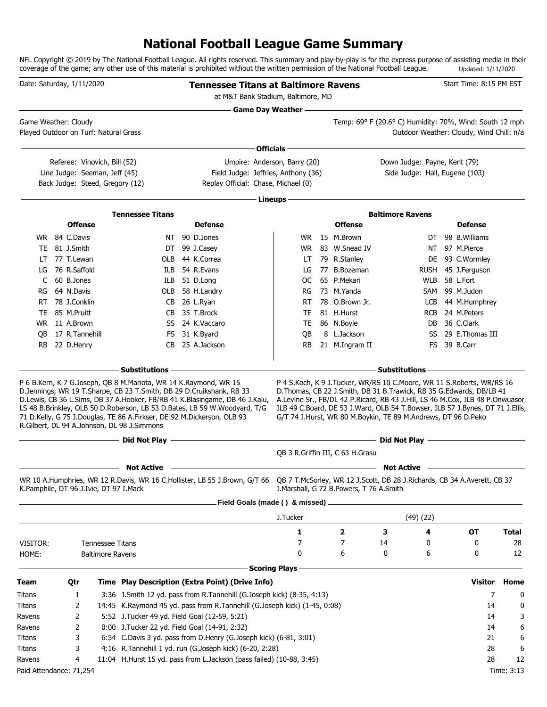### **National Football League Game Summary**

NFL Copyright © 2019 by The National Football League. All rights reserved. This summary and play-by-play is for the express purpose of assisting media in their coverage of the game; any other use of this material is prohibited without the written permission of the National Football League. Updated: 1/11/2020

|               | Date: Saturday, 1/11/2020              |                         |                                                                                                                                                                                                                                                                   | <b>Tennessee Titans at Baltimore Ravens</b><br>at M&T Bank Stadium, Baltimore, MD                                                                        |                      |                                                               |    |                                                            | Start Time: 8:15 PM EST                                                                                                                                                                                                                                                                                             |                  |
|---------------|----------------------------------------|-------------------------|-------------------------------------------------------------------------------------------------------------------------------------------------------------------------------------------------------------------------------------------------------------------|----------------------------------------------------------------------------------------------------------------------------------------------------------|----------------------|---------------------------------------------------------------|----|------------------------------------------------------------|---------------------------------------------------------------------------------------------------------------------------------------------------------------------------------------------------------------------------------------------------------------------------------------------------------------------|------------------|
|               | Game Weather: Cloudy                   |                         |                                                                                                                                                                                                                                                                   | <b>Game Day Weather -</b>                                                                                                                                |                      |                                                               |    | <u> 1989 - Johann Barn, amerikansk politiker (d. 1989)</u> | Temp: 69° F (20.6° C) Humidity: 70%, Wind: South 12 mph                                                                                                                                                                                                                                                             |                  |
|               | Played Outdoor on Turf: Natural Grass  |                         |                                                                                                                                                                                                                                                                   |                                                                                                                                                          |                      |                                                               |    |                                                            | Outdoor Weather: Cloudy, Wind Chill: n/a                                                                                                                                                                                                                                                                            |                  |
|               |                                        |                         |                                                                                                                                                                                                                                                                   | Officials -                                                                                                                                              |                      |                                                               |    |                                                            |                                                                                                                                                                                                                                                                                                                     |                  |
|               | Referee: Vinovich, Bill (52)           |                         |                                                                                                                                                                                                                                                                   | Umpire: Anderson, Barry (20)                                                                                                                             |                      |                                                               |    | Down Judge: Payne, Kent (79)                               |                                                                                                                                                                                                                                                                                                                     |                  |
|               | Line Judge: Seeman, Jeff (45)          |                         |                                                                                                                                                                                                                                                                   | Field Judge: Jeffries, Anthony (36)                                                                                                                      |                      |                                                               |    | Side Judge: Hall, Eugene (103)                             |                                                                                                                                                                                                                                                                                                                     |                  |
|               | Back Judge: Steed, Gregory (12)        |                         |                                                                                                                                                                                                                                                                   | Replay Official: Chase, Michael (0)                                                                                                                      |                      |                                                               |    |                                                            |                                                                                                                                                                                                                                                                                                                     |                  |
|               |                                        |                         |                                                                                                                                                                                                                                                                   |                                                                                                                                                          | Lineups -            |                                                               |    |                                                            |                                                                                                                                                                                                                                                                                                                     |                  |
|               |                                        |                         | <b>Tennessee Titans</b>                                                                                                                                                                                                                                           |                                                                                                                                                          |                      |                                                               |    | <b>Baltimore Ravens</b>                                    |                                                                                                                                                                                                                                                                                                                     |                  |
|               | <b>Offense</b>                         |                         |                                                                                                                                                                                                                                                                   | <b>Defense</b>                                                                                                                                           |                      | <b>Offense</b>                                                |    |                                                            | <b>Defense</b>                                                                                                                                                                                                                                                                                                      |                  |
|               | WR 84 C.Davis                          |                         |                                                                                                                                                                                                                                                                   | NT 90 D.Jones                                                                                                                                            | WR.                  | 15 M.Brown                                                    |    | DT                                                         | 98 B. Williams                                                                                                                                                                                                                                                                                                      |                  |
| TE            | 81 J.Smith                             |                         | DT                                                                                                                                                                                                                                                                | 99 J.Casey                                                                                                                                               | WR.                  | 83 W.Snead IV                                                 |    | NΤ                                                         | 97 M.Pierce                                                                                                                                                                                                                                                                                                         |                  |
| LT            | 77 T.Lewan                             |                         | OLB                                                                                                                                                                                                                                                               | 44 K.Correa                                                                                                                                              | LT                   | 79 R.Stanley                                                  |    | DE                                                         | 93 C.Wormley                                                                                                                                                                                                                                                                                                        |                  |
| LG            | 76 R.Saffold                           |                         | ILB                                                                                                                                                                                                                                                               | 54 R.Evans                                                                                                                                               | LG                   | 77 B.Bozeman                                                  |    | <b>RUSH</b>                                                | 45 J.Ferguson                                                                                                                                                                                                                                                                                                       |                  |
| C             | 60 B.Jones                             |                         | ILB                                                                                                                                                                                                                                                               | 51 D.Long                                                                                                                                                | OC.                  | 65 P.Mekari                                                   |    | <b>WLB</b>                                                 | 58 L.Fort                                                                                                                                                                                                                                                                                                           |                  |
| RG            | 64 N.Davis                             |                         | OLB                                                                                                                                                                                                                                                               | 58 H.Landry                                                                                                                                              | RG                   | 73 M.Yanda                                                    |    | SAM                                                        | 99 M.Judon                                                                                                                                                                                                                                                                                                          |                  |
| RT            | 78 J.Conklin                           |                         | CB                                                                                                                                                                                                                                                                | 26 L.Ryan                                                                                                                                                | RT                   | 78 O.Brown Jr.                                                |    | LCB                                                        | 44 M.Humphrey                                                                                                                                                                                                                                                                                                       |                  |
| TE            | 85 M.Pruitt                            |                         | CB                                                                                                                                                                                                                                                                | 35 T.Brock                                                                                                                                               | TE                   | 81 H.Hurst                                                    |    | <b>RCB</b>                                                 | 24 M.Peters                                                                                                                                                                                                                                                                                                         |                  |
| WR.           | 11 A.Brown                             |                         | SS                                                                                                                                                                                                                                                                | 24 K.Vaccaro                                                                                                                                             | TE                   | 86 N.Boyle                                                    |    | DB                                                         | 36 C.Clark                                                                                                                                                                                                                                                                                                          |                  |
| OВ            | 17 R.Tannehill                         |                         | FS                                                                                                                                                                                                                                                                | 31 K.Byard                                                                                                                                               | QB                   | 8 L.Jackson                                                   |    | SS                                                         | 29 E.Thomas III                                                                                                                                                                                                                                                                                                     |                  |
| <b>RB</b>     | 22 D.Henry                             |                         | CB.                                                                                                                                                                                                                                                               | 25 A.Jackson                                                                                                                                             | <b>RB</b>            | 21 M.Ingram II                                                |    | FS.                                                        | 39 B.Carr                                                                                                                                                                                                                                                                                                           |                  |
|               |                                        |                         | – Substitutions                                                                                                                                                                                                                                                   |                                                                                                                                                          |                      |                                                               |    | <b>Substitutions</b>                                       |                                                                                                                                                                                                                                                                                                                     |                  |
|               |                                        |                         | P 6 B.Kern, K 7 G.Joseph, QB 8 M.Mariota, WR 14 K.Raymond, WR 15<br>D.Jennings, WR 19 T.Sharpe, CB 23 T.Smith, DB 29 D.Cruikshank, RB 33<br>71 D.Kelly, G 75 J.Douglas, TE 86 A.Firkser, DE 92 M.Dickerson, OLB 93<br>R.Gilbert, DL 94 A.Johnson, DL 98 J.Simmons | D.Lewis, CB 36 L.Sims, DB 37 A.Hooker, FB/RB 41 K.Blasingame, DB 46 J.Kalu,<br>LS 48 B.Brinkley, OLB 50 D.Roberson, LB 53 D.Bates, LB 59 W.Woodyard, T/G |                      | G/T 74 J.Hurst, WR 80 M.Boykin, TE 89 M.Andrews, DT 96 D.Peko |    |                                                            | P 4 S.Koch, K 9 J.Tucker, WR/RS 10 C.Moore, WR 11 S.Roberts, WR/RS 16<br>D. Thomas, CB 22 J. Smith, DB 31 B. Trawick, RB 35 G. Edwards, DB/LB 41<br>A.Levine Sr., FB/DL 42 P.Ricard, RB 43 J.Hill, LS 46 M.Cox, ILB 48 P.Onwuasor,<br>ILB 49 C.Board, DE 53 J.Ward, OLB 54 T.Bowser, ILB 57 J.Bynes, DT 71 J.Ellis, |                  |
|               |                                        |                         | $-$ Did Not Play $-$                                                                                                                                                                                                                                              | <b>Did Not Play - And All And All And All And All And All And All And All And All And All And All And All And All</b>                                    |                      |                                                               |    |                                                            |                                                                                                                                                                                                                                                                                                                     |                  |
|               |                                        |                         |                                                                                                                                                                                                                                                                   |                                                                                                                                                          |                      | QB 3 R.Griffin III, C 63 H.Grasu                              |    |                                                            |                                                                                                                                                                                                                                                                                                                     |                  |
|               |                                        |                         | <b>Not Active</b>                                                                                                                                                                                                                                                 |                                                                                                                                                          |                      |                                                               |    | <b>Not Active</b>                                          |                                                                                                                                                                                                                                                                                                                     |                  |
|               | K.Pamphile, DT 96 J.Ivie, DT 97 I.Mack |                         |                                                                                                                                                                                                                                                                   | WR 10 A.Humphries, WR 12 R.Davis, WR 16 C.Hollister, LB 55 J.Brown, G/T 66 QB 7 T.McSorley, WR 12 J.Scott, DB 28 J.Richards, CB 34 A.Averett, CB 37      |                      | I.Marshall, G 72 B.Powers, T 76 A.Smith                       |    |                                                            |                                                                                                                                                                                                                                                                                                                     |                  |
|               |                                        |                         |                                                                                                                                                                                                                                                                   | Field Goals (made () & missed) _                                                                                                                         |                      |                                                               |    |                                                            |                                                                                                                                                                                                                                                                                                                     |                  |
|               |                                        |                         |                                                                                                                                                                                                                                                                   |                                                                                                                                                          | J.Tucker             |                                                               |    | (49)(22)                                                   |                                                                                                                                                                                                                                                                                                                     |                  |
|               |                                        |                         |                                                                                                                                                                                                                                                                   |                                                                                                                                                          | 1                    | $\overline{\mathbf{2}}$                                       | з  | 4                                                          | ОT                                                                                                                                                                                                                                                                                                                  | <b>Total</b>     |
| VISITOR:      |                                        | <b>Tennessee Titans</b> |                                                                                                                                                                                                                                                                   |                                                                                                                                                          | 7                    | 7                                                             | 14 | 0                                                          | 0                                                                                                                                                                                                                                                                                                                   | 28               |
| HOME:         |                                        | <b>Baltimore Ravens</b> |                                                                                                                                                                                                                                                                   |                                                                                                                                                          | 0                    | 6                                                             | 0  | 6                                                          | 0                                                                                                                                                                                                                                                                                                                   | 12               |
|               |                                        |                         |                                                                                                                                                                                                                                                                   |                                                                                                                                                          | <b>Scoring Plays</b> |                                                               |    |                                                            |                                                                                                                                                                                                                                                                                                                     |                  |
| <b>Team</b>   | Qtr                                    |                         |                                                                                                                                                                                                                                                                   | Time Play Description (Extra Point) (Drive Info)                                                                                                         |                      |                                                               |    |                                                            | Visitor                                                                                                                                                                                                                                                                                                             | Home             |
| Titans        | 1                                      |                         |                                                                                                                                                                                                                                                                   | 3:36 J.Smith 12 yd. pass from R.Tannehill (G.Joseph kick) (8-35, 4:13)                                                                                   |                      |                                                               |    |                                                            | 7                                                                                                                                                                                                                                                                                                                   | 0                |
| Titans        | 2                                      |                         |                                                                                                                                                                                                                                                                   | 14:45 K.Raymond 45 yd. pass from R.Tannehill (G.Joseph kick) (1-45, 0:08)                                                                                |                      |                                                               |    |                                                            | 14                                                                                                                                                                                                                                                                                                                  | 0                |
| Ravens        | 2                                      |                         | 5:52 J.Tucker 49 yd. Field Goal (12-59, 5:21)                                                                                                                                                                                                                     |                                                                                                                                                          |                      |                                                               |    |                                                            | 14                                                                                                                                                                                                                                                                                                                  | 3                |
| Ravens        | 2                                      |                         | 0:00 J.Tucker 22 yd. Field Goal (14-91, 2:32)                                                                                                                                                                                                                     |                                                                                                                                                          |                      |                                                               |    |                                                            | 14                                                                                                                                                                                                                                                                                                                  | 6                |
| <b>Titans</b> | 3                                      |                         |                                                                                                                                                                                                                                                                   | 6:54 C.Davis 3 yd. pass from D.Henry (G.Joseph kick) (6-81, 3:01)                                                                                        |                      |                                                               |    |                                                            | 21                                                                                                                                                                                                                                                                                                                  | 6                |
| Titans        | 3                                      |                         |                                                                                                                                                                                                                                                                   | 4:16 R.Tannehill 1 yd. run (G.Joseph kick) (6-20, 2:28)                                                                                                  |                      |                                                               |    |                                                            | 28<br>28                                                                                                                                                                                                                                                                                                            | 6                |
| Ravens        | 4                                      |                         |                                                                                                                                                                                                                                                                   | 11:04 H.Hurst 15 yd. pass from L.Jackson (pass failed) (10-88, 3:45)                                                                                     |                      |                                                               |    |                                                            |                                                                                                                                                                                                                                                                                                                     | 12<br>Time: 3:13 |
|               | Paid Attendance: 71,254                |                         |                                                                                                                                                                                                                                                                   |                                                                                                                                                          |                      |                                                               |    |                                                            |                                                                                                                                                                                                                                                                                                                     |                  |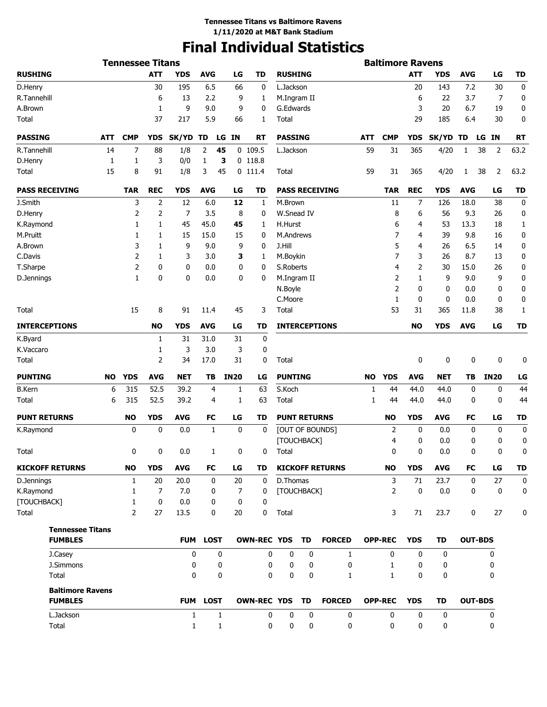# **Final Individual Statistics**

|                         |           | <b>Tennessee Titans</b> |                |                |                 |             |                    |                      |             |                        |     | <b>Baltimore Ravens</b> |             |             |             |                 |             |
|-------------------------|-----------|-------------------------|----------------|----------------|-----------------|-------------|--------------------|----------------------|-------------|------------------------|-----|-------------------------|-------------|-------------|-------------|-----------------|-------------|
| <b>RUSHING</b>          |           |                         | <b>ATT</b>     | <b>YDS</b>     | <b>AVG</b>      | LG          | <b>TD</b>          | <b>RUSHING</b>       |             |                        |     |                         | <b>ATT</b>  | <b>YDS</b>  | <b>AVG</b>  | LG              | <b>TD</b>   |
| D.Henry                 |           |                         | 30             | 195            | 6.5             | 66          | 0                  | L.Jackson            |             |                        |     |                         | 20          | 143         | 7.2         | 30              | 0           |
| R.Tannehill             |           |                         | 6              | 13             | 2.2             | 9           | 1                  | M.Ingram II          |             |                        |     |                         | 6           | 22          | 3.7         | 7               | 0           |
| A.Brown                 |           |                         | 1              | 9              | 9.0             | 9           | 0                  | G.Edwards            |             |                        |     |                         | 3           | 20          | 6.7         | 19              | 0           |
| Total                   |           |                         | 37             | 217            | 5.9             | 66          | 1                  | Total                |             |                        |     |                         | 29          | 185         | 6.4         | 30              | 0           |
| <b>PASSING</b>          | ATT       | <b>CMP</b>              | <b>YDS</b>     | SK/YD          | TD<br>LG        | IN          | RT                 | <b>PASSING</b>       |             |                        | ATT | <b>CMP</b>              | <b>YDS</b>  | SK/YD TD    |             | <b>IN</b><br>LG | <b>RT</b>   |
| R.Tannehill             | 14        | 7                       | 88             | 1/8            | 2<br>45         |             | $0$ 109.5          | L.Jackson            |             |                        | 59  | 31                      | 365         | 4/20        | 1           | 38<br>2         | 63.2        |
| D.Henry                 | 1         | 1                       | 3              | 0/0            | 1               | з           | $0$ 118.8          |                      |             |                        |     |                         |             |             |             |                 |             |
| <b>Total</b>            | 15        | 8                       | 91             | 1/8            | 3<br>45         |             | $0$ 111.4          | Total                |             |                        | 59  | 31                      | 365         | 4/20        | 1           | 38<br>2         | 63.2        |
| <b>PASS RECEIVING</b>   |           | <b>TAR</b>              | <b>REC</b>     | <b>YDS</b>     | <b>AVG</b>      | LG          | TD                 |                      |             | <b>PASS RECEIVING</b>  |     | <b>TAR</b>              | <b>REC</b>  | <b>YDS</b>  | <b>AVG</b>  | LG              | <b>TD</b>   |
| J.Smith                 |           | 3                       | 2              | 12             | 6.0             | 12          | 1                  | M.Brown              |             |                        |     | 11                      | 7           | 126         | 18.0        | 38              | 0           |
| D.Henry                 |           | 2                       | 2              | $\overline{7}$ | 3.5             | 8           | 0                  | W.Snead IV           |             |                        |     | 8                       | 6           | 56          | 9.3         | 26              | 0           |
| K.Raymond               |           | 1                       | 1              | 45             | 45.0            | 45          | 1                  | H.Hurst              |             |                        |     | 6                       | 4           | 53          | 13.3        | 18              | 1           |
| M.Pruitt                |           | 1                       | 1              | 15             | 15.0            | 15          | 0                  | M.Andrews            |             |                        |     | 7                       | 4           | 39          | 9.8         | 16              | 0           |
| A.Brown                 |           | 3                       | 1              | 9              | 9.0             | 9           | 0                  | J.Hill               |             |                        |     | 5                       | 4           | 26          | 6.5         | 14              | 0           |
| C.Davis                 |           | 2                       | 1              | 3              | 3.0             | 3           | 1                  | M.Boykin             |             |                        |     | 7                       | 3           | 26          | 8.7         | 13              | 0           |
| T.Sharpe                |           | 2                       | 0              | 0              | 0.0             | 0           | 0                  | S.Roberts            |             |                        |     | 4                       | 2           | 30          | 15.0        | 26              | 0           |
| D.Jennings              |           | 1                       | 0              | 0              | 0.0             | 0           | 0                  | M.Ingram II          |             |                        |     | 2                       | 1           | 9           | 9.0         | 9               | 0           |
|                         |           |                         |                |                |                 |             |                    | N.Boyle              |             |                        |     | 2                       | 0           | 0           | 0.0         | 0               | 0           |
|                         |           |                         |                |                |                 |             |                    | C.Moore              |             |                        |     | 1                       | 0           | 0           | 0.0         | 0               | 0           |
| Total                   |           | 15                      | 8              | 91             | 11.4            | 45          | 3                  | Total                |             |                        |     | 53                      | 31          | 365         | 11.8        | 38              | 1           |
| <b>INTERCEPTIONS</b>    |           |                         | <b>NO</b>      | <b>YDS</b>     | <b>AVG</b>      | LG          | TD                 |                      |             | <b>INTERCEPTIONS</b>   |     |                         | <b>NO</b>   | <b>YDS</b>  | <b>AVG</b>  | LG              | <b>TD</b>   |
| K.Byard                 |           |                         | 1              | 31             | 31.0            | 31          | 0                  |                      |             |                        |     |                         |             |             |             |                 |             |
| K.Vaccaro               |           |                         | 1              | 3              | 3.0             | 3           | 0                  |                      |             |                        |     |                         |             |             |             |                 |             |
| Total                   |           |                         | 2              | 34             | 17.0            | 31          | 0                  | Total                |             |                        |     |                         | 0           | 0           | 0           | 0               | 0           |
| <b>PUNTING</b>          | <b>NO</b> | <b>YDS</b>              | <b>AVG</b>     | <b>NET</b>     | TB              | <b>IN20</b> | LG                 | <b>PUNTING</b>       |             |                        | NO  | <b>YDS</b>              | <b>AVG</b>  | NET         | TВ          | <b>IN20</b>     | LG          |
| <b>B.Kern</b>           | 6         | 315                     | 52.5           | 39.2           | 4               | 1           | 63                 | S.Koch               |             |                        | 1   | 44                      | 44.0        | 44.0        | 0           | 0               | 44          |
| Total                   | 6         | 315                     | 52.5           | 39.2           | 4               | 1           | 63                 | Total                |             |                        | 1   | 44                      | 44.0        | 44.0        | 0           | 0               | 44          |
| <b>PUNT RETURNS</b>     |           | <b>NO</b>               | <b>YDS</b>     | <b>AVG</b>     | FC              | LG          | TD                 | <b>PUNT RETURNS</b>  |             |                        |     | NO                      | <b>YDS</b>  | AVG         | FC          | LG              | <b>TD</b>   |
| K.Raymond               |           | 0                       | 0              | 0.0            | 1               | 0           | 0                  |                      |             | [OUT OF BOUNDS]        |     | 2                       | 0           | 0.0         | 0           | 0               | 0           |
| Total                   |           | 0                       | 0              | 0.0            | 1               | 0           | 0                  | [TOUCHBACK]<br>Total |             |                        |     | 4<br>0                  | 0<br>0      | 0.0<br>0.0  | 0<br>0      | 0<br>0          | 0<br>0      |
| <b>KICKOFF RETURNS</b>  |           | <b>NO</b>               | <b>YDS</b>     | <b>AVG</b>     | FC              | LG          | TD                 |                      |             | <b>KICKOFF RETURNS</b> |     | <b>NO</b>               | <b>YDS</b>  | <b>AVG</b>  | <b>FC</b>   | LG              | <b>TD</b>   |
| D.Jennings              |           | $\mathbf{1}$            | 20             | 20.0           | $\mathbf 0$     | 20          | $\mathbf 0$        | D.Thomas             |             |                        |     | 3                       | 71          | 23.7        | $\mathbf 0$ | 27              | $\mathbf 0$ |
| K.Raymond               |           | 1                       | $\overline{7}$ | 7.0            | 0               | 7           | 0                  | [TOUCHBACK]          |             |                        |     | $\overline{2}$          | $\mathbf 0$ | 0.0         | 0           | 0               | 0           |
| [TOUCHBACK]             |           | 1                       | 0              | 0.0            | 0               | 0           | 0                  |                      |             |                        |     |                         |             |             |             |                 |             |
| Total                   |           | $\overline{2}$          | 27             | 13.5           | 0               | 20          | 0                  | Total                |             |                        |     | 3                       | 71          | 23.7        | 0           | 27              | 0           |
| <b>Tennessee Titans</b> |           |                         |                |                |                 |             |                    |                      |             |                        |     |                         |             |             |             |                 |             |
| <b>FUMBLES</b>          |           |                         |                |                | <b>FUM LOST</b> |             | OWN-REC YDS TD     |                      |             | <b>FORCED</b>          |     | <b>OPP-REC</b>          | <b>YDS</b>  | TD          |             | <b>OUT-BDS</b>  |             |
| J.Casey                 |           |                         |                | 0              | 0               |             | 0                  | 0                    | 0           | 1                      |     | $\mathbf{0}$            | 0           | 0           |             | 0               |             |
| J.Simmons               |           |                         |                | 0              | 0               |             | 0                  | 0                    | 0           | 0                      |     | $\mathbf{1}$            | 0           | 0           |             | 0               |             |
| Total                   |           |                         |                | $\mathbf{0}$   | 0               |             | 0                  | 0                    | 0           | 1                      |     | $\mathbf{1}$            | 0           | 0           |             | 0               |             |
| <b>Baltimore Ravens</b> |           |                         |                |                |                 |             |                    |                      |             |                        |     |                         |             |             |             |                 |             |
| <b>FUMBLES</b>          |           |                         |                |                | FUM LOST        |             | <b>OWN-REC YDS</b> |                      | <b>TD</b>   | <b>FORCED</b>          |     | <b>OPP-REC</b>          | <b>YDS</b>  | TD          |             | <b>OUT-BDS</b>  |             |
| L.Jackson               |           |                         |                | $\mathbf{1}$   | $\mathbf{1}$    |             | 0                  | 0                    | $\mathbf 0$ | $\mathbf 0$            |     | $\mathbf 0$             | 0           | $\mathbf 0$ |             | 0               |             |
| Total                   |           |                         |                | 1              | $\mathbf{1}$    |             | 0                  | 0                    | 0           | 0                      |     | 0                       | 0           | 0           |             | 0               |             |
|                         |           |                         |                |                |                 |             |                    |                      |             |                        |     |                         |             |             |             |                 |             |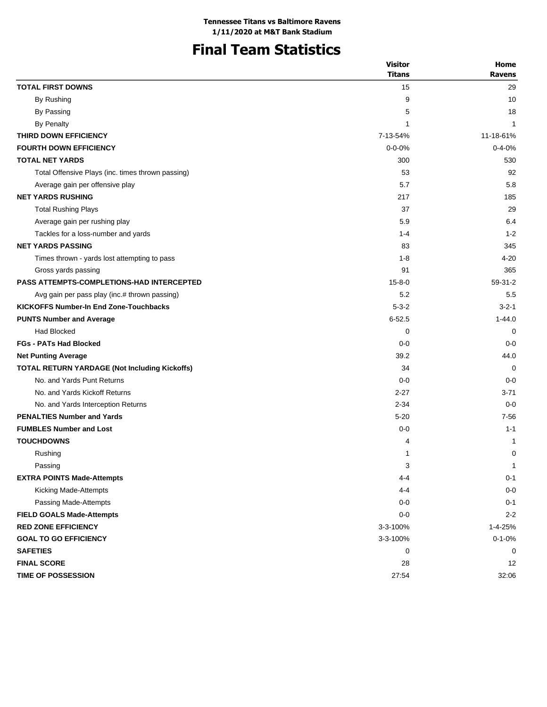# **Final Team Statistics**

|                                                   | <b>Visitor</b> | Home          |
|---------------------------------------------------|----------------|---------------|
|                                                   | <b>Titans</b>  | <b>Ravens</b> |
| <b>TOTAL FIRST DOWNS</b>                          | 15             | 29            |
| By Rushing                                        | 9              | 10            |
| By Passing                                        | 5              | 18            |
| <b>By Penalty</b>                                 | $\mathbf 1$    | $\mathbf{1}$  |
| THIRD DOWN EFFICIENCY                             | 7-13-54%       | 11-18-61%     |
| <b>FOURTH DOWN EFFICIENCY</b>                     | $0 - 0 - 0%$   | $0 - 4 - 0%$  |
| <b>TOTAL NET YARDS</b>                            | 300            | 530           |
| Total Offensive Plays (inc. times thrown passing) | 53             | 92            |
| Average gain per offensive play                   | 5.7            | 5.8           |
| <b>NET YARDS RUSHING</b>                          | 217            | 185           |
| <b>Total Rushing Plays</b>                        | 37             | 29            |
| Average gain per rushing play                     | 5.9            | 6.4           |
| Tackles for a loss-number and yards               | $1 - 4$        | $1 - 2$       |
| <b>NET YARDS PASSING</b>                          | 83             | 345           |
| Times thrown - yards lost attempting to pass      | 1-8            | 4-20          |
| Gross yards passing                               | 91             | 365           |
| <b>PASS ATTEMPTS-COMPLETIONS-HAD INTERCEPTED</b>  | $15 - 8 - 0$   | $59-31-2$     |
| Avg gain per pass play (inc.# thrown passing)     | 5.2            | 5.5           |
| <b>KICKOFFS Number-In End Zone-Touchbacks</b>     | $5 - 3 - 2$    | $3 - 2 - 1$   |
| <b>PUNTS Number and Average</b>                   | $6 - 52.5$     | $1 - 44.0$    |
| <b>Had Blocked</b>                                | 0              | 0             |
| <b>FGs - PATs Had Blocked</b>                     | $0 - 0$        | $0 - 0$       |
| <b>Net Punting Average</b>                        | 39.2           | 44.0          |
| TOTAL RETURN YARDAGE (Not Including Kickoffs)     | 34             | $\Omega$      |
| No. and Yards Punt Returns                        | $0 - 0$        | $0-0$         |
| No. and Yards Kickoff Returns                     | $2 - 27$       | $3 - 71$      |
| No. and Yards Interception Returns                | $2 - 34$       | $0 - 0$       |
| <b>PENALTIES Number and Yards</b>                 | $5 - 20$       | $7 - 56$      |
| <b>FUMBLES Number and Lost</b>                    | $0 - 0$        | $1 - 1$       |
| <b>TOUCHDOWNS</b>                                 | 4              | 1             |
| Rushing                                           | 1              | 0             |
| Passing                                           | 3              | $\mathbf{1}$  |
| <b>EXTRA POINTS Made-Attempts</b>                 | 4-4            | $0 - 1$       |
| Kicking Made-Attempts                             | 4-4            | $0 - 0$       |
| Passing Made-Attempts                             | $0-0$          | $0 - 1$       |
| <b>FIELD GOALS Made-Attempts</b>                  | $0 - 0$        | $2 - 2$       |
| <b>RED ZONE EFFICIENCY</b>                        | 3-3-100%       | 1-4-25%       |
| <b>GOAL TO GO EFFICIENCY</b>                      | 3-3-100%       | $0 - 1 - 0%$  |
| <b>SAFETIES</b>                                   | 0              | 0             |
| <b>FINAL SCORE</b>                                | 28             | 12            |
| <b>TIME OF POSSESSION</b>                         | 27:54          | 32:06         |
|                                                   |                |               |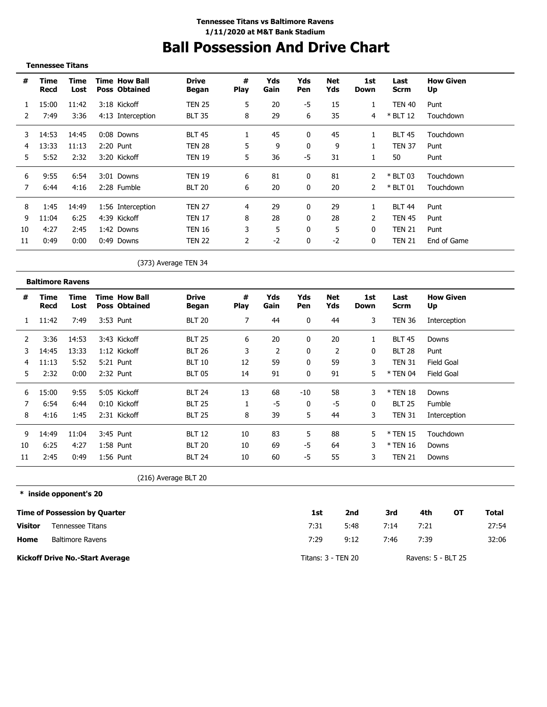# **Ball Possession And Drive Chart**

|                | <b>Tennessee Titans</b> |              |                                              |                              |                    |                |              |                   |                    |                     |                        |
|----------------|-------------------------|--------------|----------------------------------------------|------------------------------|--------------------|----------------|--------------|-------------------|--------------------|---------------------|------------------------|
| #              | <b>Time</b><br>Recd     | Time<br>Lost | <b>Time How Ball</b><br><b>Poss Obtained</b> | <b>Drive</b><br><b>Began</b> | $\pmb{\#}$<br>Play | Yds<br>Gain    | Yds<br>Pen   | <b>Net</b><br>Yds | 1st<br><b>Down</b> | Last<br><b>Scrm</b> | <b>How Given</b><br>Up |
| 1              | 15:00                   | 11:42        | 3:18 Kickoff                                 | <b>TEN 25</b>                | 5                  | 20             | -5           | 15                | 1                  | <b>TEN 40</b>       | Punt                   |
| 2              | 7:49                    | 3:36         | 4:13 Interception                            | <b>BLT 35</b>                | 8                  | 29             | 6            | 35                | 4                  | * BLT 12            | Touchdown              |
| 3              | 14:53                   | 14:45        | 0:08 Downs                                   | <b>BLT 45</b>                | $\mathbf{1}$       | 45             | 0            | 45                | $\mathbf{1}$       | <b>BLT 45</b>       | Touchdown              |
| $\overline{4}$ | 13:33                   | 11:13        | 2:20 Punt                                    | <b>TEN 28</b>                | 5                  | 9              | $\mathbf{0}$ | 9                 | $\mathbf{1}$       | <b>TEN 37</b>       | Punt                   |
| 5              | 5:52                    | 2:32         | 3:20 Kickoff                                 | <b>TEN 19</b>                | 5                  | 36             | $-5$         | 31                | 1                  | 50                  | Punt                   |
| 6              | 9:55                    | 6:54         | 3:01 Downs                                   | <b>TEN 19</b>                | 6                  | 81             | 0            | 81                | 2                  | * BLT 03            | Touchdown              |
| 7              | 6:44                    | 4:16         | 2:28 Fumble                                  | <b>BLT 20</b>                | 6                  | 20             | 0            | 20                | 2                  | * BLT 01            | Touchdown              |
| 8              | 1:45                    | 14:49        | 1:56 Interception                            | <b>TEN 27</b>                | $\overline{4}$     | 29             | 0            | 29                | $\mathbf{1}$       | <b>BLT 44</b>       | Punt                   |
| 9              | 11:04                   | 6:25         | 4:39 Kickoff                                 | <b>TEN 17</b>                | 8                  | 28             | 0            | 28                | 2                  | <b>TEN 45</b>       | Punt                   |
| 10             | 4:27                    | 2:45         | 1:42 Downs                                   | <b>TEN 16</b>                | 3                  | 5              | 0            | 5                 | $\mathbf 0$        | <b>TEN 21</b>       | Punt                   |
| 11             | 0:49                    | 0:00         | 0:49 Downs                                   | <b>TEN 22</b>                | 2                  | $-2$           | 0            | $-2$              | $\mathbf 0$        | <b>TEN 21</b>       | End of Game            |
|                |                         |              |                                              | (373) Average TEN 34         |                    |                |              |                   |                    |                     |                        |
|                | <b>Baltimore Ravens</b> |              |                                              |                              |                    |                |              |                   |                    |                     |                        |
| #              | Time<br><b>Recd</b>     | Time<br>Lost | <b>Time How Ball</b><br><b>Poss Obtained</b> | <b>Drive</b><br>Began        | $\pmb{\#}$<br>Play | Yds<br>Gain    | Yds<br>Pen   | <b>Net</b><br>Yds | 1st<br>Down        | Last<br><b>Scrm</b> | <b>How Given</b><br>Up |
| 1              | 11:42                   | 7:49         | 3:53 Punt                                    | <b>BLT 20</b>                | $\overline{7}$     | 44             | 0            | 44                | 3                  | <b>TEN 36</b>       | Interception           |
| 2              | 3:36                    | 14:53        | 3:43 Kickoff                                 | <b>BLT 25</b>                | 6                  | 20             | 0            | 20                | 1                  | <b>BLT 45</b>       | Downs                  |
| 3              | 14:45                   | 13:33        | 1:12 Kickoff                                 | <b>BLT 26</b>                | 3                  | $\overline{2}$ | 0            | 2                 | 0                  | <b>BLT 28</b>       | Punt                   |
| 4              | 11:13                   | 5:52         | 5:21 Punt                                    | <b>BLT 10</b>                | 12                 | 59             | 0            | 59                | 3                  | <b>TEN 31</b>       | <b>Field Goal</b>      |
| 5              | 2:32                    | 0:00         | 2:32 Punt                                    | <b>BLT 05</b>                | 14                 | 91             | 0            | 91                | 5                  | * TEN 04            | <b>Field Goal</b>      |
| 6              | 15:00                   | 9:55         | 5:05 Kickoff                                 | <b>BLT 24</b>                | 13                 | 68             | $-10$        | 58                | 3                  | * TEN 18            | Downs                  |
| $\overline{7}$ | 6:54                    | 6:44         | 0:10 Kickoff                                 | <b>BLT 25</b>                | $\mathbf{1}$       | $-5$           | $\mathbf{0}$ | -5                | $\mathbf 0$        | <b>BLT 25</b>       | Fumble                 |
| 8              | 4:16                    | 1:45         | 2:31 Kickoff                                 | <b>BLT 25</b>                | 8                  | 39             | 5            | 44                | 3                  | <b>TEN 31</b>       | Interception           |
| 9              | 14:49                   | 11:04        | 3:45 Punt                                    | <b>BLT 12</b>                | 10                 | 83             | 5            | 88                | 5                  | * TEN 15            | Touchdown              |
| 10             | 6:25                    | 4:27         | 1:58 Punt                                    | <b>BLT 20</b>                | 10                 | 69             | $-5$         | 64                | 3                  | * TEN 16            | Downs                  |
| 11             | 2:45                    | 0:49         | 1:56 Punt                                    | <b>BLT 24</b>                | 10                 | 60             | $-5$         | 55                | 3                  | <b>TEN 21</b>       | Downs                  |
|                |                         |              |                                              | (216) Average BLT 20         |                    |                |              |                   |                    |                     |                        |

**\* inside opponent's 20**

|                | <b>Time of Possession by Quarter</b>   | 1st                | 2nd  | 3rd  | 4th                | ΟТ | Total |
|----------------|----------------------------------------|--------------------|------|------|--------------------|----|-------|
| <b>Visitor</b> | Tennessee Titans                       | 7:31               | 5:48 | 7:14 | 7:21               |    | 27:54 |
| Home           | Baltimore Ravens                       | 7:29               | 9:12 | 7:46 | 7:39               |    | 32:06 |
|                | <b>Kickoff Drive No.-Start Average</b> | Titans: 3 - TEN 20 |      |      | Ravens: 5 - BLT 25 |    |       |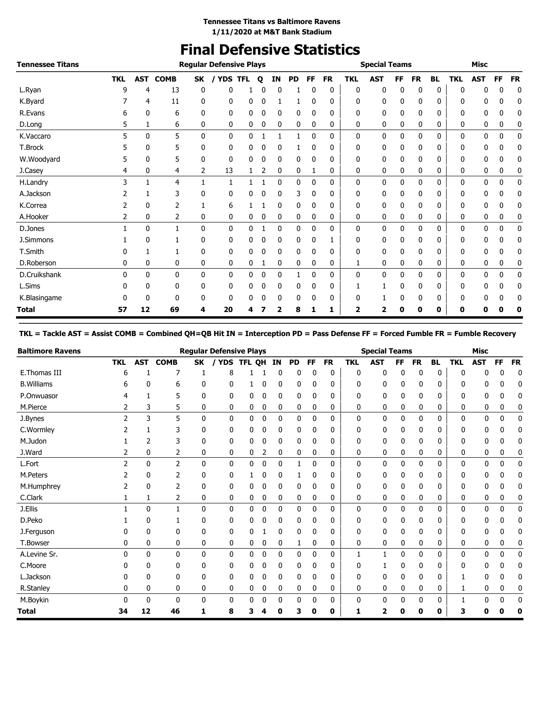## **Final Defensive Statistics**

| <b>Tennessee Titans</b> |            |     |             |    | <b>Regular Defensive Plays</b> |            |   |    |           |              |           |            | <b>Special Teams</b> |    |           |           |            | <b>Misc</b> |           |           |
|-------------------------|------------|-----|-------------|----|--------------------------------|------------|---|----|-----------|--------------|-----------|------------|----------------------|----|-----------|-----------|------------|-------------|-----------|-----------|
|                         | <b>TKL</b> | AST | <b>COMB</b> | SK | / YDS                          | <b>TFL</b> | Q | ΙN | <b>PD</b> | FF.          | <b>FR</b> | <b>TKL</b> | <b>AST</b>           | FF | <b>FR</b> | <b>BL</b> | <b>TKL</b> | <b>AST</b>  | <b>FF</b> | <b>FR</b> |
| L.Ryan                  | 9          | 4   | 13          | 0  | 0                              |            | n | 0  |           | $\mathbf{0}$ | 0         | 0          | 0                    | 0  | 0         | 0         | 0          | 0           | 0         | 0         |
| K.Byard                 |            | 4   | 11          | 0  | 0                              | 0          | 0 |    |           | $\mathbf{0}$ | 0         | 0          | 0                    | 0  | 0         | 0         | 0          | 0           | 0         | 0         |
| R.Evans                 | 6          | 0   | 6           | 0  | 0                              | 0          | 0 | 0  | 0         | 0            | 0         | 0          | 0                    | 0  | 0         | 0         | 0          | 0           | 0         | 0         |
| D.Long                  | 5          | 1   | 6           | 0  | 0                              | 0          | 0 | 0  | 0         | 0            | 0         | 0          | 0                    | 0  | 0         | 0         | 0          | 0           | 0         | 0         |
| K.Vaccaro               |            | 0   | 5           | 0  | 0                              | 0          | 1 | 1  | 1         | $\mathbf 0$  | 0         | 0          | 0                    | 0  | 0         | 0         | 0          | 0           | 0         | 0         |
| T.Brock                 |            | 0   | 5           | 0  | 0                              | 0          |   | 0  |           |              | 0         | 0          | 0                    | 0  | 0         | 0         | 0          | 0           | 0         | 0         |
| W.Woodyard              | 5          | 0   | 5           | 0  | 0                              | 0          | 0 | 0  | 0         | 0            | 0         | 0          | 0                    | 0  | 0         | 0         | 0          | 0           | 0         | 0         |
| J.Casey                 | 4          | 0   | 4           | 2  | 13                             |            | 2 | 0  | 0         | 1            | 0         | 0          | 0                    | 0  | 0         | 0         | 0          | 0           | 0         | 0         |
| H.Landry                | 3          |     | 4           | 1  | $\mathbf{1}$                   |            |   | 0  | 0         | $\mathbf 0$  | 0         | 0          | 0                    | 0  | 0         | 0         | 0          | 0           | 0         | 0         |
| A.Jackson               |            | 1   | 3           | 0  | 0                              | 0          | 0 | 0  | 3         | 0            | 0         | 0          | 0                    | 0  | 0         | 0         | 0          | 0           | 0         | 0         |
| K.Correa                |            | 0   | 2           | 1  | 6                              |            |   | 0  | 0         | 0            | 0         | 0          | 0                    | 0  | 0         | 0         | 0          | 0           | 0         | 0         |
| A.Hooker                | 2          | 0   | 2           | 0  | 0                              | 0          | 0 | 0  | 0         | 0            | 0         | 0          | 0                    | 0  | 0         | 0         | 0          | 0           | 0         | 0         |
| D.Jones                 |            | 0   | 1           | 0  | 0                              | 0          |   | 0  | 0         | 0            | 0         | 0          | 0                    | 0  | 0         | 0         | 0          | 0           | 0         | 0         |
| J.Simmons               |            | 0   |             | 0  | 0                              | 0          |   | 0  | 0         | 0            | 1         | 0          | 0                    | 0  | 0         | 0         | 0          | 0           | 0         | 0         |
| T.Smith                 |            |     |             | 0  | 0                              | 0          | 0 | 0  | 0         | 0            | 0         | 0          | 0                    | 0  | 0         | 0         | 0          | 0           | 0         | 0         |
| D.Roberson              | 0          | 0   | 0           | 0  | 0                              | 0          |   | 0  | 0         | 0            | 0         | 1          | 0                    | 0  | 0         | 0         | 0          | 0           | 0         | 0         |
| D.Cruikshank            | 0          | 0   | 0           | 0  | 0                              | 0          | 0 | 0  |           | 0            | 0         | 0          | 0                    | 0  | 0         | 0         | 0          | 0           | 0         | 0         |
| L.Sims                  | 0          | 0   | 0           | 0  | 0                              | 0          | 0 | 0  | 0         | $\mathbf{0}$ | 0         |            |                      | 0  | 0         | 0         | 0          | 0           | 0         | 0         |
| K.Blasingame            |            | 0   | 0           | 0  | 0                              | 0          | 0 | 0  | 0         | 0            | 0         | 0          |                      | 0  | 0         | 0         | 0          | 0           | 0         | 0         |
| <b>Total</b>            | 57         | 12  | 69          | 4  | 20                             | 4          |   | 2  | 8         | 1            | 1         | 2          | 2                    | 0  | 0         | 0         | 0          | 0           | 0         | 0         |

#### **TKL = Tackle AST = Assist COMB = Combined QH=QB Hit IN = Interception PD = Pass Defense FF = Forced Fumble FR = Fumble Recovery**

| <b>Baltimore Ravens</b> |            |              |                |              | <b>Regular Defensive Plays</b> |        |   |    |              |              |           |            | <b>Special Teams</b> |           |           |           |              | <b>Misc</b> |              |           |
|-------------------------|------------|--------------|----------------|--------------|--------------------------------|--------|---|----|--------------|--------------|-----------|------------|----------------------|-----------|-----------|-----------|--------------|-------------|--------------|-----------|
|                         | <b>TKL</b> | AST          | <b>COMB</b>    | <b>SK</b>    | <b>YDS</b>                     | TFL OH |   | IN | <b>PD</b>    | <b>FF</b>    | <b>FR</b> | <b>TKL</b> | <b>AST</b>           | <b>FF</b> | <b>FR</b> | <b>BL</b> | <b>TKL</b>   | <b>AST</b>  | <b>FF</b>    | <b>FR</b> |
| E. Thomas III           | h          |              |                |              | 8                              |        |   | 0  | 0            |              | 0         | 0          | 0                    | 0         | 0         | 0         | 0            |             | 0            | 0         |
| <b>B.Williams</b>       | 6          | 0            | 6              | 0            | 0                              |        | 0 | 0  | 0            | 0            | 0         | 0          | $\mathbf 0$          | 0         | 0         | 0         | 0            | 0           | 0            | 0         |
| P.Onwuasor              |            |              | 5              | 0            | 0                              | 0      | 0 | 0  | 0            |              | 0         | 0          | 0                    | 0         | 0         | 0         |              | 0           | 0            | 0         |
| M.Pierce                | 2          | 3            | 5              | 0            | 0                              | 0      | 0 | 0  | 0            | 0            | 0         | 0          | 0                    | 0         | 0         | 0         | 0            | 0           | 0            | 0         |
| J.Bynes                 | 2          | 3            | 5              | $\mathbf{0}$ | 0                              | 0      | 0 | 0  | 0            | $\mathbf{0}$ | 0         | 0          | $\mathbf 0$          | 0         | 0         | 0         | $\mathbf{0}$ | 0           | 0            | 0         |
| C.Wormley               |            |              | 3              | 0            | 0                              | 0      | 0 | 0  | 0            | 0            | 0         | 0          | 0                    | 0         | 0         | 0         | 0            | 0           |              | 0         |
| M.Judon                 |            | 2            | 3              | 0            | 0                              | 0      | 0 | 0  | 0            | 0            | 0         | 0          | 0                    | 0         | 0         | 0         | 0            | 0           | 0            | 0         |
| J.Ward                  | 2          | 0            | 2              | 0            | 0                              | 0      | 2 | 0  | 0            | 0            | 0         | 0          | 0                    | 0         | 0         | 0         | 0            | 0           | 0            | 0         |
| L.Fort                  | 2          | $\mathbf{0}$ | $\overline{2}$ | 0            | 0                              | 0      | 0 | 0  | 1            | $\mathbf{0}$ | 0         | 0          | 0                    | 0         | 0         | 0         | 0            | 0           | 0            | 0         |
| M.Peters                |            | 0            |                | 0            | 0                              |        | C | 0  |              |              | 0         | 0          | 0                    | 0         | 0         | 0         | 0            | n           |              | 0         |
| M.Humphrey              |            | 0            | 2              | 0            | 0                              | 0      | 0 | 0  | 0            | 0            | 0         | 0          | $\mathbf 0$          | 0         | 0         | 0         | 0            | 0           | 0            | 0         |
| C.Clark                 |            | 1            | 2              | 0            | 0                              | 0      | 0 | 0  | 0            | 0            | 0         | 0          | 0                    | 0         | 0         | 0         | 0            | 0           | 0            | 0         |
| J.Ellis                 |            | $\mathbf{0}$ | 1              | $\mathbf{0}$ | 0                              | 0      | 0 | 0  | $\mathbf{0}$ | 0            | 0         | 0          | 0                    | 0         | 0         | 0         | 0            | 0           | $\mathbf{0}$ | 0         |
| D.Peko                  |            | 0            |                | 0            | 0                              | 0      | 0 | 0  | 0            | 0            | 0         | 0          | 0                    | 0         | 0         | 0         | ŋ            | n           |              | 0         |
| J.Ferguson              |            | 0            | 0              | 0            | 0                              | 0      |   | 0  | 0            | 0            | 0         | 0          | 0                    | 0         | 0         | 0         | 0            | 0           | 0            | 0         |
| T.Bowser                | 0          | 0            | 0              | 0            | 0                              | 0      | 0 | 0  | 1            | 0            | 0         | 0          | 0                    | 0         | 0         | 0         | 0            | 0           | 0            | 0         |
| A.Levine Sr.            | O          | $\mathbf{0}$ | $\mathbf{0}$   | $\mathbf{0}$ | 0                              | 0      | 0 | 0  | 0            | 0            | 0         | 1          | 1                    | 0         | 0         | 0         | 0            | 0           | 0            | 0         |
| C.Moore                 | O          | 0            | 0              | 0            | 0                              | 0      | 0 | 0  | 0            | 0            | 0         | 0          |                      | 0         | 0         | 0         | ŋ            | 0           | 0            | 0         |
| L.Jackson               |            | 0            | 0              | 0            | 0                              | 0      | 0 | 0  | 0            | 0            | 0         | 0          | 0                    | 0         | 0         | 0         |              | 0           | 0            | 0         |
| R.Stanley               | 0          | 0            | 0              | 0            | 0                              | 0      | 0 | 0  | 0            | 0            | 0         | 0          | 0                    | 0         | 0         | 0         |              | 0           | 0            | 0         |
| M.Boykin                |            | $\mathbf{0}$ | $\mathbf{0}$   | $\mathbf{0}$ | 0                              | 0      | 0 | 0  | 0            | 0            | 0         | 0          | 0                    | 0         | 0         | 0         |              | 0           | 0            | 0         |
| Total                   | 34         | 12           | 46             | 1            | 8                              | 3      |   | O  | 3            | 0            | 0         | 1          | 2                    | Ω         | 0         | 0         | 3            | 0           | Ω            | 0         |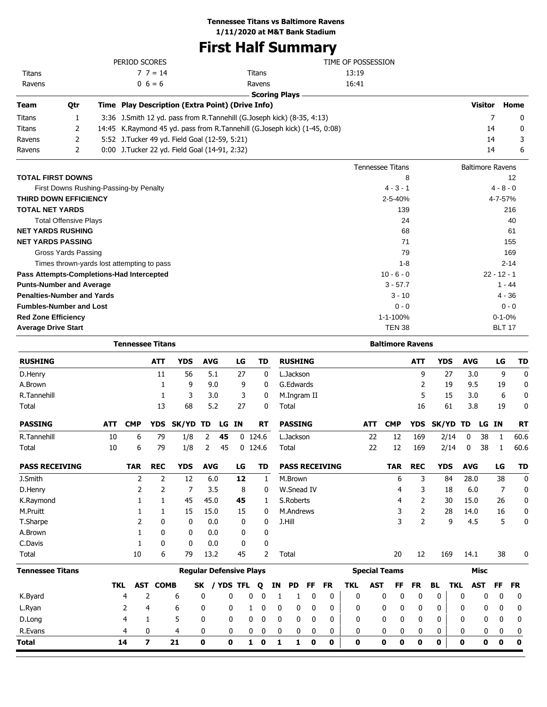### **Tennessee Titans vs Baltimore Ravens**

**1/11/2020 at M&T Bank Stadium**

# **First Half Summary**

|            |              |                      | TIME OF POSSESSION                                                                                                                                   |                                                                                                                                                     |              |
|------------|--------------|----------------------|------------------------------------------------------------------------------------------------------------------------------------------------------|-----------------------------------------------------------------------------------------------------------------------------------------------------|--------------|
|            | $7 \t7 = 14$ | Titans               | 13:19                                                                                                                                                |                                                                                                                                                     |              |
|            | $0\;6=6$     | Ravens               | 16:41                                                                                                                                                |                                                                                                                                                     |              |
|            |              | <b>Scoring Plays</b> |                                                                                                                                                      |                                                                                                                                                     |              |
| <b>Otr</b> |              |                      |                                                                                                                                                      | <b>Visitor</b>                                                                                                                                      | Home         |
|            |              |                      |                                                                                                                                                      |                                                                                                                                                     | $\Omega$     |
|            |              |                      |                                                                                                                                                      | 14                                                                                                                                                  | $\mathbf{0}$ |
|            |              |                      |                                                                                                                                                      | 14                                                                                                                                                  | 3            |
|            |              |                      |                                                                                                                                                      | 14                                                                                                                                                  | 6            |
|            |              | PERIOD SCORES        | Time Play Description (Extra Point) (Drive Info)<br>5:52 J. Tucker 49 yd. Field Goal (12-59, 5:21)<br>0:00 J. Tucker 22 yd. Field Goal (14-91, 2:32) | 3:36 J.Smith 12 yd. pass from R.Tannehill (G.Joseph kick) (8-35, 4:13)<br>14:45 K.Raymond 45 yd. pass from R.Tannehill (G.Joseph kick) (1-45, 0:08) |              |

|                                            | <b>Tennessee Titans</b> | <b>Baltimore Ravens</b> |
|--------------------------------------------|-------------------------|-------------------------|
| <b>TOTAL FIRST DOWNS</b>                   | 8                       | 12                      |
| First Downs Rushing-Passing-by Penalty     | $4 - 3 - 1$             | $4 - 8 - 0$             |
| <b>THIRD DOWN EFFICIENCY</b>               | $2 - 5 - 40%$           | 4-7-57%                 |
| <b>TOTAL NET YARDS</b>                     | 139                     | 216                     |
| <b>Total Offensive Plays</b>               | 24                      | 40                      |
| <b>NET YARDS RUSHING</b>                   | 68                      | 61                      |
| <b>NET YARDS PASSING</b>                   | 71                      | 155                     |
| Gross Yards Passing                        | 79                      | 169                     |
| Times thrown-yards lost attempting to pass | $1 - 8$                 | $2 - 14$                |
| Pass Attempts-Completions-Had Intercepted  | $10 - 6 - 0$            | $22 - 12 - 1$           |
| <b>Punts-Number and Average</b>            | $3 - 57.7$              | $1 - 44$                |
| <b>Penalties-Number and Yards</b>          | $3 - 10$                | $4 - 36$                |
| <b>Fumbles-Number and Lost</b>             | $0 - 0$                 | $0 - 0$                 |
| <b>Red Zone Efficiency</b>                 | 1-1-100%                | $0 - 1 - 0%$            |
| <b>Average Drive Start</b>                 | <b>TEN 38</b>           | <b>BLT 17</b>           |

|                         |            |            |                |                                |              |           |    | <b>Baltimore Ravens</b> |              |    |                |             |                       |            |            |                      |                |            |            |            |             |           |              |
|-------------------------|------------|------------|----------------|--------------------------------|--------------|-----------|----|-------------------------|--------------|----|----------------|-------------|-----------------------|------------|------------|----------------------|----------------|------------|------------|------------|-------------|-----------|--------------|
| <b>RUSHING</b>          |            |            | <b>ATT</b>     | <b>YDS</b>                     | <b>AVG</b>   |           | LG |                         | <b>TD</b>    |    | <b>RUSHING</b> |             |                       |            |            |                      | <b>ATT</b>     | <b>YDS</b> |            | <b>AVG</b> |             | LG        | <b>TD</b>    |
| D.Henry                 |            |            | 11             | 56                             | 5.1          |           | 27 |                         | $\mathbf{0}$ |    | L.Jackson      |             |                       |            |            |                      | 9              |            | 27         | 3.0        |             | 9         | $\mathbf{0}$ |
| A.Brown                 |            |            | 1              | 9                              | 9.0          |           | 9  |                         | 0            |    | G.Edwards      |             |                       |            |            |                      | 2              |            | 19         | 9.5        |             | 19        | 0            |
| R. Tannehill            |            |            | 1              | 3                              |              | 3.0       | 3  |                         | 0            |    | M.Ingram II    |             |                       |            |            |                      | 5              |            | 15         | 3.0        |             | 6         | 0            |
| Total                   |            |            | 13             | 68                             | 5.2          |           | 27 |                         | 0            |    | Total          |             |                       |            |            |                      | 16             |            | 61         | 3.8        |             | 19        | 0            |
| <b>PASSING</b>          | <b>ATT</b> | <b>CMP</b> | <b>YDS</b>     | SK/YD                          | TD           | LG IN     |    |                         | <b>RT</b>    |    | <b>PASSING</b> |             |                       |            | <b>ATT</b> | <b>CMP</b>           | <b>YDS</b>     | SK/YD TD   |            |            | LG IN       |           | <b>RT</b>    |
| R.Tannehill             | 10         | 6          | 79             | 1/8                            | 2            | 45        |    | $0$ 124.6               |              |    | L.Jackson      |             |                       |            | 22         | 12                   | 169            |            | 2/14       | 0          | 38          | 1         | 60.6         |
| Total                   | 10         | 6          | 79             | 1/8                            | 2            | 45        |    | $0$ 124.6               |              |    | Total          |             |                       |            | 22         | 12                   | 169            |            | 2/14       | 0          | 38          | 1         | 60.6         |
| <b>PASS RECEIVING</b>   |            | <b>TAR</b> | <b>REC</b>     | <b>YDS</b>                     | <b>AVG</b>   |           | LG |                         | TD           |    |                |             | <b>PASS RECEIVING</b> |            |            | <b>TAR</b>           | <b>REC</b>     | <b>YDS</b> |            | <b>AVG</b> |             | LG        | <b>TD</b>    |
| J.Smith                 |            | 2          | $\overline{2}$ | 12                             | 6.0          |           | 12 |                         | $\mathbf{1}$ |    | M.Brown        |             |                       |            |            | 6                    | 3              |            | 84         | 28.0       |             | 38        | $\mathbf 0$  |
| D.Henry                 |            | 2          | 2              | 7                              | 3.5          |           | 8  |                         | 0            |    | W.Snead IV     |             |                       |            |            | 4                    | 3              |            | 18         | 6.0        |             | 7         | 0            |
| K.Raymond               |            | 1          | 1              | 45                             | 45.0         |           | 45 |                         | 1            |    | S.Roberts      |             |                       |            |            | 4                    | 2              |            | 30         | 15.0       |             | 26        | 0            |
| M.Pruitt                |            |            | 1              | 15                             | 15.0         |           | 15 |                         | 0            |    | M.Andrews      |             |                       |            |            | 3                    | $\overline{2}$ |            | 28         | 14.0       |             | 16        | 0            |
| T.Sharpe                |            | 2          | 0              | 0                              | 0.0          |           | 0  |                         | 0            |    | J.Hill         |             |                       |            |            | 3                    | $\overline{2}$ |            | 9          | 4.5        |             | 5         | 0            |
| A.Brown                 |            | 1          | 0              | 0                              | 0.0          |           | 0  |                         | 0            |    |                |             |                       |            |            |                      |                |            |            |            |             |           |              |
| C.Davis                 |            | 1          | 0              | $\mathbf{0}$                   | 0.0          |           | 0  |                         | 0            |    |                |             |                       |            |            |                      |                |            |            |            |             |           |              |
| Total                   |            | 10         | 6              | 79                             | 13.2         |           | 45 |                         | 2            |    | Total          |             |                       |            |            | 20                   | 12             |            | 169        | 14.1       |             | 38        | 0            |
| <b>Tennessee Titans</b> |            |            |                | <b>Regular Defensive Plays</b> |              |           |    |                         |              |    |                |             |                       |            |            | <b>Special Teams</b> |                |            |            |            | <b>Misc</b> |           |              |
|                         | <b>TKL</b> | AST        | <b>COMB</b>    |                                | SK           | / YDS TFL |    |                         | Q            | ΙN | <b>PD</b>      | FF          | <b>FR</b>             | <b>TKL</b> | <b>AST</b> | FF                   | <b>FR</b>      | <b>BL</b>  | <b>TKL</b> |            | <b>AST</b>  | <b>FF</b> | <b>FR</b>    |
| K.Byard                 |            | 4          | $\overline{2}$ | 6                              | 0            | 0         |    | 0                       | $\mathbf 0$  | 1  | 1              | $\mathbf 0$ | 0                     | 0          |            | 0<br>0               | 0              | 0          |            | 0          | 0           | 0         | 0            |
| L.Ryan                  |            | 2          | 4              | 6                              | 0            | 0         |    | 1                       | 0            | 0  | 0              | 0           | 0                     | 0          |            | 0<br>0               | 0              | 0          |            | 0          | 0           | 0         | 0            |
| D.Long                  |            | 4          | 1              | 5                              | $\mathbf{0}$ | 0         |    | 0                       | $\mathbf 0$  | 0  | 0              | 0           | 0                     | 0          |            | 0<br>0               | $\mathbf 0$    | 0          |            | 0          | 0           | 0         | 0            |
| R.Evans                 |            | 4          | 0              | 4                              | 0            |           | 0  | 0                       | 0            | 0  | 0              | 0           | 0                     | 0          |            | 0<br>0               | 0              | 0          |            | 0          | 0           | 0         | 0            |
| Total                   |            | 14         | 7              | 21                             | 0            | 0         |    | $\mathbf{1}$            | 0            | 1  | 1              | 0           | 0                     | 0          |            | 0<br>0               | 0              | 0          |            | 0          | 0           | 0         | 0            |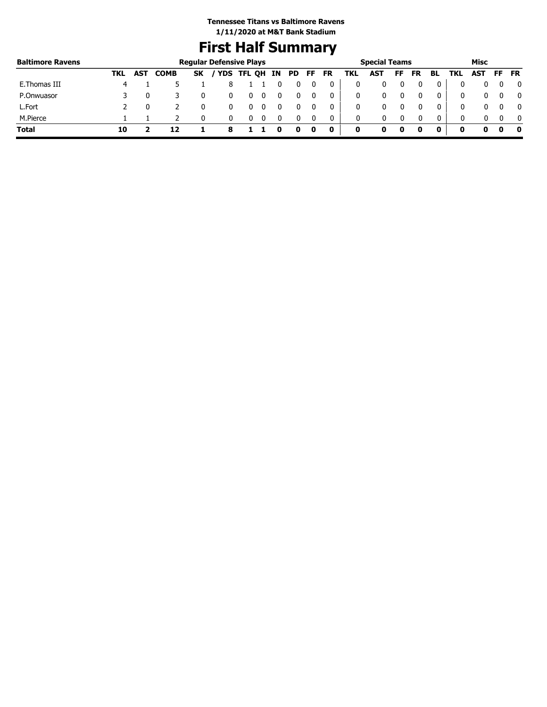# **First Half Summary**

| <b>Baltimore Ravens</b> |     |            |             | <b>Regular Defensive Plays</b> |                 |   |  |       |           |     | <b>Special Teams</b> |    |          |              |              | Misc |     |           |
|-------------------------|-----|------------|-------------|--------------------------------|-----------------|---|--|-------|-----------|-----|----------------------|----|----------|--------------|--------------|------|-----|-----------|
|                         | TKL | <b>AST</b> | <b>COMB</b> | <b>SK</b>                      | / YDS TFL QH IN |   |  | PD FF | <b>FR</b> | TKL | AST                  | FF | FR       | BL           | TKL          | AST  | FF. | <b>FR</b> |
| E. Thomas III           |     |            |             |                                |                 |   |  |       | 0         | 0   |                      |    |          | 0            |              |      |     | 0         |
| P.Onwuasor              |     |            |             |                                |                 | 0 |  |       | 0         | 0   |                      |    | $\Omega$ | 0            |              |      |     |           |
| L.Fort                  |     |            |             |                                |                 |   |  |       | 0         | 0   |                      |    |          | 0            |              |      |     | 0         |
| M.Pierce                |     |            |             |                                |                 |   |  |       | 0         | 0   |                      |    |          | $\mathbf{0}$ | <sup>0</sup> |      |     | - 0       |
| Total                   | 10  |            |             |                                |                 |   |  |       | 0         | 0   |                      | 0  |          |              |              |      |     | 0         |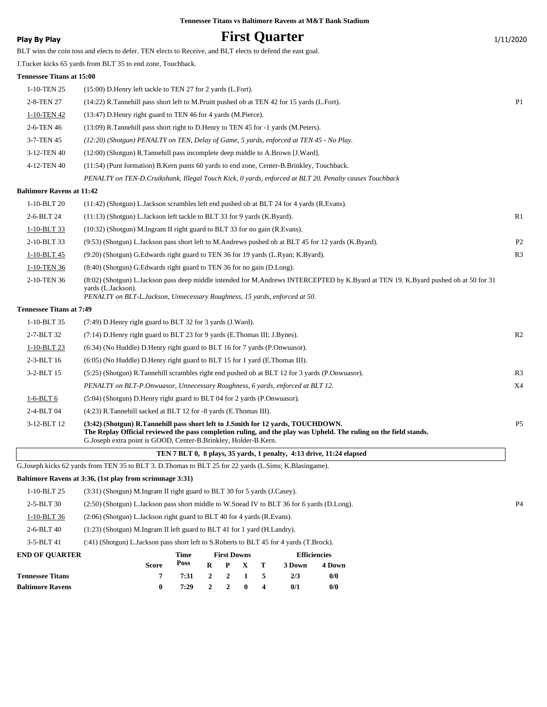### **Play By Play Play Play Play By Play First Quarter** 1/11/2020

BLT wins the coin toss and elects to defer. TEN elects to Receive, and BLT elects to defend the east goal.

J.Tucker kicks 65 yards from BLT 35 to end zone, Touchback.

#### **Tennessee Titans at 15:00**

| 1-10-TEN 25              | (15:00) D. Henry left tackle to TEN 27 for 2 yards (L. Fort).                                           |                |
|--------------------------|---------------------------------------------------------------------------------------------------------|----------------|
| 2-8-TEN 27               | (14:22) R. Tannehill pass short left to M. Pruitt pushed ob at TEN 42 for 15 yards (L. Fort).           | P <sub>1</sub> |
| 1-10-TEN 42              | (13:47) D. Henry right guard to TEN 46 for 4 yards (M. Pierce).                                         |                |
| 2-6-TEN 46               | (13:09) R. Tannehill pass short right to D. Henry to TEN 45 for -1 yards (M. Peters).                   |                |
| 3-7-TEN 45               | (12:20) (Shotgun) PENALTY on TEN, Delay of Game, 5 yards, enforced at TEN 45 - No Play.                 |                |
| 3-12-TEN 40              | (12:00) (Shotgun) R.Tannehill pass incomplete deep middle to A.Brown [J.Ward].                          |                |
| 4-12-TEN 40              | $(11:54)$ (Punt formation) B.Kern punts 60 yards to end zone, Center-B.Brinkley, Touchback.             |                |
|                          | PENALTY on TEN-D. Cruikshank, Illegal Touch Kick, 0 yards, enforced at BLT 20. Penalty causes Touchback |                |
| altimara Davone at 11:42 |                                                                                                         |                |

#### **Baltimore Ravens at 11:42**

| $1-10-BLT20$                    | (11:42) (Shotgun) L.Jackson scrambles left end pushed ob at BLT 24 for 4 yards (R.Evans).                                                                 |                |
|---------------------------------|-----------------------------------------------------------------------------------------------------------------------------------------------------------|----------------|
| 2-6-BLT 24                      | $(11:13)$ (Shotgun) L. Jackson left tackle to BLT 33 for 9 yards (K. Byard).                                                                              | R1             |
| $1-10-BLT$ 33                   | (10:32) (Shotgun) M.Ingram II right guard to BLT 33 for no gain (R.Evans).                                                                                |                |
| 2-10-BLT 33                     | (9:53) (Shotgun) L.Jackson pass short left to M.Andrews pushed ob at BLT 45 for 12 yards (K.Byard).                                                       | P <sub>2</sub> |
| $1-10-BLT$ 45                   | (9:20) (Shotgun) G. Edwards right guard to TEN 36 for 19 yards (L. Ryan; K. Byard).                                                                       | R <sub>3</sub> |
| 1-10-TEN 36                     | (8.40) (Shotgun) G. Edwards right guard to TEN 36 for no gain (D. Long).                                                                                  |                |
| 2-10-TEN 36                     | (8:02) (Shotgun) L.Jackson pass deep middle intended for M.Andrews INTERCEPTED by K.Byard at TEN 19. K.Byard pushed ob at 50 for 31<br>vards (L.Jackson). |                |
|                                 | PENALTY on BLT-L.Jackson, Unnecessary Roughness, 15 yards, enforced at 50.                                                                                |                |
| <b>Fennessee Titans at 7:49</b> |                                                                                                                                                           |                |

#### **Tennessee Titans at 7:49**

| $1-10-BLT$ 35<br>(7:49) D. Henry right guard to BLT 32 for 3 yards (J. Ward).<br>R <sub>2</sub><br>2-7-BLT 32<br>$(7:14)$ D. Henry right guard to BLT 23 for 9 yards (E. Thomas III; J. Bynes).<br>1-10-BLT 23<br>$(6:34)$ (No Huddle) D. Henry right guard to BLT 16 for 7 yards (P. Onwuasor).<br>$2-3-BLT16$<br>(6:05) (No Huddle) D. Henry right guard to BLT 15 for 1 yard (E. Thomas III).<br>R <sub>3</sub><br>3-2-BLT 15<br>(5:25) (Shotgun) R.Tannehill scrambles right end pushed ob at BLT 12 for 3 yards (P.Onwuasor).<br>X4<br>PENALTY on BLT-P. Onwuasor, Unnecessary Roughness, 6 yards, enforced at BLT 12.<br>$1-6-BLT6$<br>$(5:04)$ (Shotgun) D. Henry right guard to BLT 04 for 2 yards (P. Onwussor).<br>2-4-BLT 04<br>$(4:23)$ R.Tannehill sacked at BLT 12 for -8 yards (E.Thomas III).<br>(3:42) (Shotgun) R.Tannehill pass short left to J.Smith for 12 yards, TOUCHDOWN.<br>$3-12-BLT12$<br><b>P5</b><br>The Replay Official reviewed the pass completion ruling, and the play was Upheld. The ruling on the field stands.<br>G. Joseph extra point is GOOD, Center-B. Brinkley, Holder-B. Kern. |  |  |
|---------------------------------------------------------------------------------------------------------------------------------------------------------------------------------------------------------------------------------------------------------------------------------------------------------------------------------------------------------------------------------------------------------------------------------------------------------------------------------------------------------------------------------------------------------------------------------------------------------------------------------------------------------------------------------------------------------------------------------------------------------------------------------------------------------------------------------------------------------------------------------------------------------------------------------------------------------------------------------------------------------------------------------------------------------------------------------------------------------------------------|--|--|
|                                                                                                                                                                                                                                                                                                                                                                                                                                                                                                                                                                                                                                                                                                                                                                                                                                                                                                                                                                                                                                                                                                                           |  |  |
|                                                                                                                                                                                                                                                                                                                                                                                                                                                                                                                                                                                                                                                                                                                                                                                                                                                                                                                                                                                                                                                                                                                           |  |  |
|                                                                                                                                                                                                                                                                                                                                                                                                                                                                                                                                                                                                                                                                                                                                                                                                                                                                                                                                                                                                                                                                                                                           |  |  |
|                                                                                                                                                                                                                                                                                                                                                                                                                                                                                                                                                                                                                                                                                                                                                                                                                                                                                                                                                                                                                                                                                                                           |  |  |
|                                                                                                                                                                                                                                                                                                                                                                                                                                                                                                                                                                                                                                                                                                                                                                                                                                                                                                                                                                                                                                                                                                                           |  |  |
|                                                                                                                                                                                                                                                                                                                                                                                                                                                                                                                                                                                                                                                                                                                                                                                                                                                                                                                                                                                                                                                                                                                           |  |  |
|                                                                                                                                                                                                                                                                                                                                                                                                                                                                                                                                                                                                                                                                                                                                                                                                                                                                                                                                                                                                                                                                                                                           |  |  |
|                                                                                                                                                                                                                                                                                                                                                                                                                                                                                                                                                                                                                                                                                                                                                                                                                                                                                                                                                                                                                                                                                                                           |  |  |
|                                                                                                                                                                                                                                                                                                                                                                                                                                                                                                                                                                                                                                                                                                                                                                                                                                                                                                                                                                                                                                                                                                                           |  |  |

#### **TEN 7 BLT 0, 8 plays, 35 yards, 1 penalty, 4:13 drive, 11:24 elapsed**

G.Joseph kicks 62 yards from TEN 35 to BLT 3. D.Thomas to BLT 25 for 22 yards (L.Sims; K.Blasingame).

**Baltimore Ravens 0 7:29 2 2 0 4 0/1 0/0**

#### **Baltimore Ravens at 3:36, (1st play from scrimmage 3:31)**

| <b>Tennessee Titans</b> |                                                                                            | 7:31        |   |                    |  | 5 | 2/3    | 0/0                 |  |  |
|-------------------------|--------------------------------------------------------------------------------------------|-------------|---|--------------------|--|---|--------|---------------------|--|--|
|                         | <b>Score</b>                                                                               | Poss        | R | P                  |  | т | 3 Down | 4 Down              |  |  |
| <b>END OF OUARTER</b>   |                                                                                            | <b>Time</b> |   | <b>First Downs</b> |  |   |        | <b>Efficiencies</b> |  |  |
| 3-5-BLT 41              | (:41) (Shotgun) L.Jackson pass short left to S.Roberts to BLT 45 for 4 yards (T.Brock).    |             |   |                    |  |   |        |                     |  |  |
| $2-6-BLT40$             | (1:23) (Shotgun) M.Ingram II left guard to BLT 41 for 1 yard (H.Landry).                   |             |   |                    |  |   |        |                     |  |  |
| 1-10-BLT 36             | $(2.06)$ (Shotgun) L. Jackson right guard to BLT 40 for 4 yards (R. Evans).                |             |   |                    |  |   |        |                     |  |  |
| $2 - 5 - BLT$ 30        | (2:50) (Shotgun) L.Jackson pass short middle to W.Snead IV to BLT 36 for 6 yards (D.Long). |             |   |                    |  |   |        |                     |  |  |
| 1-10-BLT 25             | $(3:31)$ (Shotgun) M.Ingram II right guard to BLT 30 for 5 yards (J.Casey).                |             |   |                    |  |   |        |                     |  |  |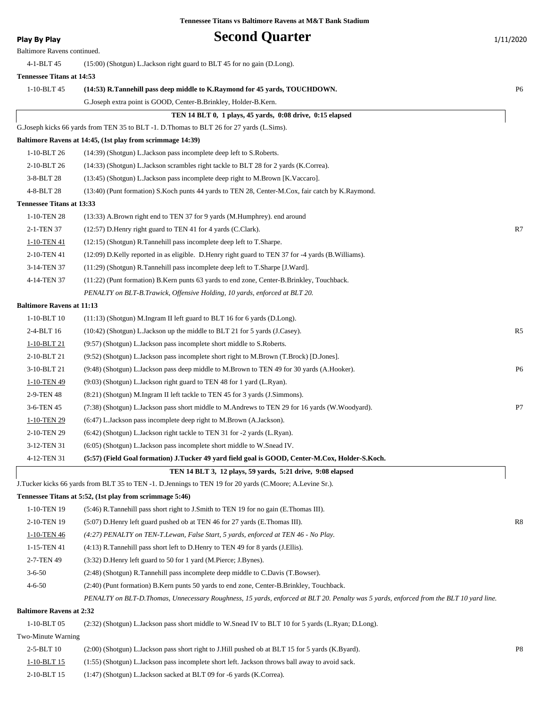| <b>Play By Play</b>              | <b>Second Quarter</b>                                                                                                                                                   | 1/11/2020      |
|----------------------------------|-------------------------------------------------------------------------------------------------------------------------------------------------------------------------|----------------|
| Baltimore Ravens continued.      |                                                                                                                                                                         |                |
| 4-1-BLT 45                       | (15:00) (Shotgun) L.Jackson right guard to BLT 45 for no gain (D.Long).                                                                                                 |                |
| <b>Tennessee Titans at 14:53</b> |                                                                                                                                                                         |                |
| 1-10-BLT 45                      | (14:53) R.Tannehill pass deep middle to K.Raymond for 45 yards, TOUCHDOWN.                                                                                              | P <sub>6</sub> |
|                                  | G.Joseph extra point is GOOD, Center-B.Brinkley, Holder-B.Kern.                                                                                                         |                |
|                                  | TEN 14 BLT 0, 1 plays, 45 yards, 0:08 drive, 0:15 elapsed                                                                                                               |                |
|                                  | G.Joseph kicks 66 yards from TEN 35 to BLT -1. D.Thomas to BLT 26 for 27 yards (L.Sims).                                                                                |                |
|                                  | Baltimore Ravens at 14:45, (1st play from scrimmage 14:39)                                                                                                              |                |
| 1-10-BLT 26                      | (14:39) (Shotgun) L.Jackson pass incomplete deep left to S.Roberts.                                                                                                     |                |
| 2-10-BLT 26                      | (14:33) (Shotgun) L.Jackson scrambles right tackle to BLT 28 for 2 yards (K.Correa).                                                                                    |                |
| 3-8-BLT 28                       | (13:45) (Shotgun) L.Jackson pass incomplete deep right to M.Brown [K.Vaccaro].                                                                                          |                |
| 4-8-BLT 28                       | (13:40) (Punt formation) S. Koch punts 44 yards to TEN 28, Center-M. Cox, fair catch by K. Raymond.                                                                     |                |
| <b>Tennessee Titans at 13:33</b> |                                                                                                                                                                         |                |
| 1-10-TEN 28                      | (13:33) A.Brown right end to TEN 37 for 9 yards (M.Humphrey). end around                                                                                                |                |
| 2-1-TEN 37                       | (12:57) D. Henry right guard to TEN 41 for 4 yards (C. Clark).                                                                                                          | R7             |
| 1-10-TEN 41                      | $(12:15)$ (Shotgun) R.Tannehill pass incomplete deep left to T.Sharpe.                                                                                                  |                |
| 2-10-TEN 41                      | (12:09) D.Kelly reported in as eligible. D.Henry right guard to TEN 37 for -4 yards (B.Williams).                                                                       |                |
| 3-14-TEN 37                      | (11:29) (Shotgun) R.Tannehill pass incomplete deep left to T.Sharpe [J.Ward].                                                                                           |                |
| 4-14-TEN 37                      | (11:22) (Punt formation) B.Kern punts 63 yards to end zone, Center-B.Brinkley, Touchback.                                                                               |                |
|                                  | PENALTY on BLT-B.Trawick, Offensive Holding, 10 yards, enforced at BLT 20.                                                                                              |                |
| <b>Baltimore Ravens at 11:13</b> |                                                                                                                                                                         |                |
| $1 - 10 - BLT$ 10                | (11:13) (Shotgun) M.Ingram II left guard to BLT 16 for 6 yards (D.Long).                                                                                                |                |
| 2-4-BLT 16                       | (10:42) (Shotgun) L.Jackson up the middle to BLT 21 for 5 yards (J.Casey).                                                                                              | R5             |
| 1-10-BLT 21                      | (9:57) (Shotgun) L.Jackson pass incomplete short middle to S.Roberts.                                                                                                   |                |
| 2-10-BLT 21                      | (9.52) (Shotgun) L.Jackson pass incomplete short right to M.Brown (T.Brock) [D.Jones].                                                                                  |                |
| 3-10-BLT 21                      | (9:48) (Shotgun) L.Jackson pass deep middle to M.Brown to TEN 49 for 30 yards (A.Hooker).                                                                               | P <sub>6</sub> |
| 1-10-TEN 49                      | (9:03) (Shotgun) L.Jackson right guard to TEN 48 for 1 yard (L.Ryan).                                                                                                   |                |
| 2-9-TEN 48                       | (8.21) (Shotgun) M.Ingram II left tackle to TEN 45 for 3 yards (J.Simmons).                                                                                             |                |
| 3-6-TEN 45                       | (7:38) (Shotgun) L.Jackson pass short middle to M.Andrews to TEN 29 for 16 yards (W.Woodyard).                                                                          | P7             |
| 1-10-TEN 29                      | (6:47) L. Jackson pass incomplete deep right to M. Brown (A. Jackson).                                                                                                  |                |
| 2-10-TEN 29<br>3-12-TEN 31       | (6:42) (Shotgun) L.Jackson right tackle to TEN 31 for -2 yards (L.Ryan).                                                                                                |                |
|                                  | (6:05) (Shotgun) L.Jackson pass incomplete short middle to W.Snead IV.                                                                                                  |                |
| 4-12-TEN 31                      | (5:57) (Field Goal formation) J.Tucker 49 yard field goal is GOOD, Center-M.Cox, Holder-S.Koch.                                                                         |                |
|                                  | TEN 14 BLT 3, 12 plays, 59 yards, 5:21 drive, 9:08 elapsed<br>J.Tucker kicks 66 yards from BLT 35 to TEN -1. D.Jennings to TEN 19 for 20 yards (C.Moore; A.Levine Sr.). |                |
|                                  | Tennessee Titans at 5:52, (1st play from scrimmage 5:46)                                                                                                                |                |
| 1-10-TEN 19                      | (5:46) R. Tannehill pass short right to J. Smith to TEN 19 for no gain (E. Thomas III).                                                                                 |                |
| 2-10-TEN 19                      | (5:07) D.Henry left guard pushed ob at TEN 46 for 27 yards (E.Thomas III).                                                                                              | R8             |
| 1-10-TEN 46                      | (4:27) PENALTY on TEN-T.Lewan, False Start, 5 yards, enforced at TEN 46 - No Play.                                                                                      |                |
| 1-15-TEN 41                      | (4:13) R.Tannehill pass short left to D.Henry to TEN 49 for 8 yards (J.Ellis).                                                                                          |                |
| 2-7-TEN 49                       | (3:32) D. Henry left guard to 50 for 1 yard (M. Pierce; J. Bynes).                                                                                                      |                |
| $3 - 6 - 50$                     | (2:48) (Shotgun) R.Tannehill pass incomplete deep middle to C.Davis (T.Bowser).                                                                                         |                |
| $4 - 6 - 50$                     | (2:40) (Punt formation) B.Kern punts 50 yards to end zone, Center-B.Brinkley, Touchback.                                                                                |                |
|                                  | PENALTY on BLT-D.Thomas, Unnecessary Roughness, 15 yards, enforced at BLT 20. Penalty was 5 yards, enforced from the BLT 10 yard line.                                  |                |
| <b>Baltimore Ravens at 2:32</b>  |                                                                                                                                                                         |                |
| 1-10-BLT 05                      | (2:32) (Shotgun) L.Jackson pass short middle to W.Snead IV to BLT 10 for 5 yards (L.Ryan; D.Long).                                                                      |                |
|                                  |                                                                                                                                                                         |                |

#### Two-Minute Warning

| $2-5-BLT$ 10 | (2:00) (Shotgun) L.Jackson pass short right to J.Hill pushed ob at BLT 15 for 5 yards (K.Byard). |  |
|--------------|--------------------------------------------------------------------------------------------------|--|
| 1-10-BLT 15  | (1:55) (Shotgun) L.Jackson pass incomplete short left. Jackson throws ball away to avoid sack.   |  |
| 2-10-BLT 15  | $(1:47)$ (Shotgun) L. Jackson sacked at BLT 09 for -6 yards (K. Correa).                         |  |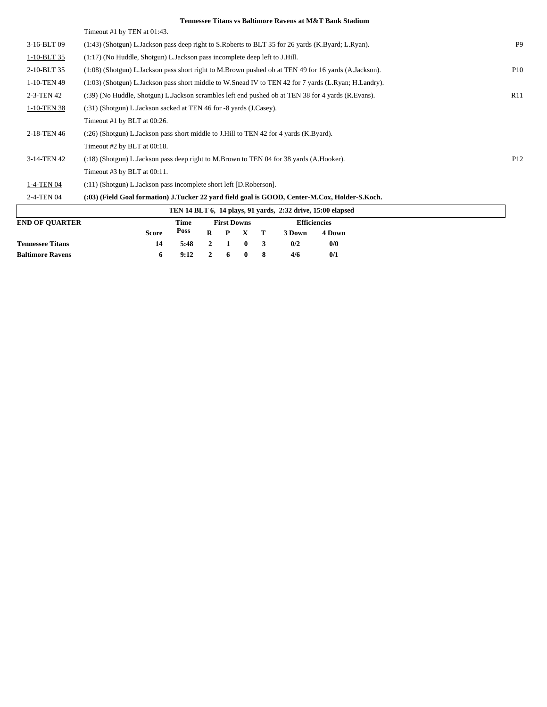| <b>Tennessee Titans vs Baltimore Ravens at M&amp;T Bank Stadium</b> |  |  |  |  |  |  |
|---------------------------------------------------------------------|--|--|--|--|--|--|
|---------------------------------------------------------------------|--|--|--|--|--|--|

|                       | Timeout #1 by TEN at 01:43.                                                                            |                 |
|-----------------------|--------------------------------------------------------------------------------------------------------|-----------------|
| 3-16-BLT 09           | (1:43) (Shotgun) L.Jackson pass deep right to S.Roberts to BLT 35 for 26 yards (K.Byard; L.Ryan).      | P <sub>9</sub>  |
| 1-10-BLT 35           | (1:17) (No Huddle, Shotgun) L. Jackson pass incomplete deep left to J. Hill.                           |                 |
| 2-10-BLT 35           | $(1:08)$ (Shotgun) L.Jackson pass short right to M.Brown pushed ob at TEN 49 for 16 yards (A.Jackson). | P <sub>10</sub> |
| 1-10-TEN 49           | (1:03) (Shotgun) L.Jackson pass short middle to W.Snead IV to TEN 42 for 7 yards (L.Ryan; H.Landry).   |                 |
| 2-3-TEN 42            | (:39) (No Huddle, Shotgun) L. Jackson scrambles left end pushed ob at TEN 38 for 4 yards (R. Evans).   | R11             |
| 1-10-TEN 38           | (:31) (Shotgun) L.Jackson sacked at TEN 46 for -8 yards (J.Casey).                                     |                 |
|                       | Timeout #1 by BLT at 00:26.                                                                            |                 |
| 2-18-TEN 46           | (:26) (Shotgun) L.Jackson pass short middle to J.Hill to TEN 42 for 4 yards (K.Byard).                 |                 |
|                       | Timeout #2 by BLT at 00:18.                                                                            |                 |
| 3-14-TEN 42           | (:18) (Shotgun) L.Jackson pass deep right to M.Brown to TEN 04 for 38 yards (A.Hooker).                | P <sub>12</sub> |
|                       | Timeout #3 by BLT at 00:11.                                                                            |                 |
| 1-4-TEN 04            | (:11) (Shotgun) L.Jackson pass incomplete short left [D.Roberson].                                     |                 |
| 2-4-TEN 04            | (:03) (Field Goal formation) J.Tucker 22 yard field goal is GOOD, Center-M.Cox, Holder-S.Koch.         |                 |
|                       | TEN 14 BLT 6, 14 plays, 91 yards, 2:32 drive, 15:00 elapsed                                            |                 |
| <b>END OF QUARTER</b> | <b>First Downs</b><br><b>Efficiencies</b><br>Time<br><b>Docc</b>                                       |                 |

|                         | <b>Score</b> |                                        |  |  | Poss R P X T 3Down 4Down |     |
|-------------------------|--------------|----------------------------------------|--|--|--------------------------|-----|
| <b>Tennessee Titans</b> |              | 14 5:48 2 1 0 3                        |  |  | 0/2                      | 0/0 |
| <b>Baltimore Ravens</b> |              | $9:12 \quad 2 \quad 6 \quad 0 \quad 8$ |  |  | 4/6                      | 0/1 |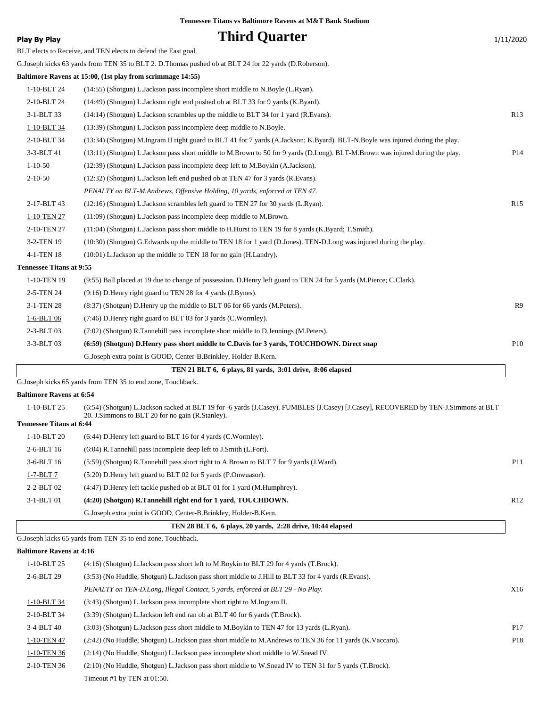| <b>Play By Play</b>             | <b>Third Quarter</b>                                                                                                           | 1/11/2020       |
|---------------------------------|--------------------------------------------------------------------------------------------------------------------------------|-----------------|
|                                 | BLT elects to Receive, and TEN elects to defend the East goal.                                                                 |                 |
|                                 | G.Joseph kicks 63 yards from TEN 35 to BLT 2. D.Thomas pushed ob at BLT 24 for 22 yards (D.Roberson).                          |                 |
|                                 | Baltimore Ravens at 15:00, (1st play from scrimmage 14:55)                                                                     |                 |
| 1-10-BLT 24                     | (14:55) (Shotgun) L.Jackson pass incomplete short middle to N.Boyle (L.Ryan).                                                  |                 |
| 2-10-BLT 24                     | (14:49) (Shotgun) L.Jackson right end pushed ob at BLT 33 for 9 yards (K.Byard).                                               |                 |
| 3-1-BLT 33                      | (14:14) (Shotgun) L.Jackson scrambles up the middle to BLT 34 for 1 yard (R.Evans).                                            | R13             |
| 1-10-BLT 34                     | (13:39) (Shotgun) L.Jackson pass incomplete deep middle to N.Boyle.                                                            |                 |
| 2-10-BLT 34                     | (13:34) (Shotgun) M.Ingram II right guard to BLT 41 for 7 yards (A.Jackson; K.Byard). BLT-N.Boyle was injured during the play. |                 |
| 3-3-BLT 41                      | (13:11) (Shotgun) L.Jackson pass short middle to M.Brown to 50 for 9 yards (D.Long). BLT-M.Brown was injured during the play.  | P <sub>14</sub> |
| $1 - 10 - 50$                   | (12:39) (Shotgun) L.Jackson pass incomplete deep left to M.Boykin (A.Jackson).                                                 |                 |
| $2 - 10 - 50$                   | (12:32) (Shotgun) L.Jackson left end pushed ob at TEN 47 for 3 yards (R.Evans).                                                |                 |
|                                 | PENALTY on BLT-M.Andrews, Offensive Holding, 10 yards, enforced at TEN 47.                                                     |                 |
| 2-17-BLT 43                     | (12:16) (Shotgun) L.Jackson scrambles left guard to TEN 27 for 30 yards (L.Ryan).                                              | R15             |
| 1-10-TEN 27                     | (11:09) (Shotgun) L.Jackson pass incomplete deep middle to M.Brown.                                                            |                 |
| 2-10-TEN 27                     | (11:04) (Shotgun) L.Jackson pass short middle to H.Hurst to TEN 19 for 8 yards (K.Byard; T.Smith).                             |                 |
| 3-2-TEN 19                      | (10:30) (Shotgun) G.Edwards up the middle to TEN 18 for 1 yard (D.Jones). TEN-D.Long was injured during the play.              |                 |
| 4-1-TEN 18                      | (10:01) L.Jackson up the middle to TEN 18 for no gain (H.Landry).                                                              |                 |
| <b>Tennessee Titans at 9:55</b> |                                                                                                                                |                 |
| 1-10-TEN 19                     | (9:55) Ball placed at 19 due to change of possession. D.Henry left guard to TEN 24 for 5 yards (M.Pierce; C.Clark).            |                 |
| 2-5-TEN 24                      | (9:16) D. Henry right guard to TEN 28 for 4 yards (J. Bynes).                                                                  |                 |
| 3-1-TEN 28                      | (8:37) (Shotgun) D.Henry up the middle to BLT 06 for 66 yards (M.Peters).                                                      | R9              |
| 1-6-BLT 06                      | (7:46) D.Henry right guard to BLT 03 for 3 yards (C.Wormley).                                                                  |                 |
| 2-3-BLT 03                      | (7:02) (Shotgun) R.Tannehill pass incomplete short middle to D.Jennings (M.Peters).                                            |                 |
| 3-3-BLT 03                      | (6:59) (Shotgun) D.Henry pass short middle to C.Davis for 3 yards, TOUCHDOWN. Direct snap                                      | P10             |
|                                 | G.Joseph extra point is GOOD, Center-B.Brinkley, Holder-B.Kern.                                                                |                 |
|                                 | TEN 21 BLT 6, 6 plays, 81 yards, 3:01 drive, 8:06 elapsed                                                                      |                 |
|                                 | G Joseph kielse 65 verde from TEN 25 to and zone Touchbook                                                                     |                 |

G.Joseph kicks 65 yards from TEN 35 to end zone, Touchback.

#### **Baltimore Ravens at 6:54**

|                                 | TEN 28 BLT 6, 6 plays, 20 vards, 2:28 drive, 10:44 elapsed                                                                                                                             |                 |
|---------------------------------|----------------------------------------------------------------------------------------------------------------------------------------------------------------------------------------|-----------------|
|                                 | G. Joseph extra point is GOOD, Center-B. Brinkley, Holder-B. Kern.                                                                                                                     |                 |
| 3-1-BLT 01                      | (4:20) (Shotgun) R.Tannehill right end for 1 yard, TOUCHDOWN.                                                                                                                          | R12             |
| 2-2-BLT 02                      | $(4:47)$ D. Henry left tackle pushed ob at BLT 01 for 1 yard (M. Humphrey).                                                                                                            |                 |
| $1-7-BLT7$                      | (5:20) D. Henry left guard to BLT 02 for 5 yards (P. Onwuasor).                                                                                                                        |                 |
| $3-6-BLT16$                     | (5:59) (Shotgun) R.Tannehill pass short right to A.Brown to BLT 7 for 9 yards (J.Ward).                                                                                                | P <sub>11</sub> |
| $2-6-BLT16$                     | $(6:04)$ R.Tannehill pass incomplete deep left to J.Smith (L.Fort).                                                                                                                    |                 |
| 1-10-BLT 20                     | $(6:44)$ D. Henry left guard to BLT 16 for 4 yards $(C.$ Wormley).                                                                                                                     |                 |
| <b>Tennessee Titans at 6:44</b> |                                                                                                                                                                                        |                 |
| 1-10-BLT 25                     | (6:54) (Shotgun) L.Jackson sacked at BLT 19 for -6 yards (J.Casey). FUMBLES (J.Casey) [J.Casey], RECOVERED by TEN-J.Simmons at BLT<br>20. J.Simmons to BLT 20 for no gain (R.Stanley). |                 |

G.Joseph kicks 65 yards from TEN 35 to end zone, Touchback.

#### **Baltimore Ravens at 4:16**

| $1-10-BLT$ 25 | $(4:16)$ (Shotgun) L.Jackson pass short left to M.Boykin to BLT 29 for 4 yards (T.Brock).                |                 |
|---------------|----------------------------------------------------------------------------------------------------------|-----------------|
| 2-6-BLT 29    | (3:53) (No Huddle, Shotgun) L. Jackson pass short middle to J. Hill to BLT 33 for 4 yards (R. Evans).    |                 |
|               | PENALTY on TEN-D.Long, Illegal Contact, 5 yards, enforced at BLT 29 - No Play.                           | X16             |
| 1-10-BLT 34   | (3:43) (Shotgun) L.Jackson pass incomplete short right to M.Ingram II.                                   |                 |
| 2-10-BLT 34   | (3:39) (Shotgun) L.Jackson left end ran ob at BLT 40 for 6 yards (T.Brock).                              |                 |
| $3-4-BLT40$   | (3:03) (Shotgun) L.Jackson pass short middle to M.Boykin to TEN 47 for 13 yards (L.Ryan).                | P <sub>17</sub> |
| 1-10-TEN 47   | (2:42) (No Huddle, Shotgun) L.Jackson pass short middle to M.Andrews to TEN 36 for 11 yards (K.Vaccaro). | P <sub>18</sub> |
| 1-10-TEN 36   | $(2.14)$ (No Huddle, Shotgun) L. Jackson pass incomplete short middle to W. Snead IV.                    |                 |
| 2-10-TEN 36   | (2:10) (No Huddle, Shotgun) L.Jackson pass short middle to W.Snead IV to TEN 31 for 5 yards (T.Brock).   |                 |
|               | Timeout #1 by TEN at $01:50$ .                                                                           |                 |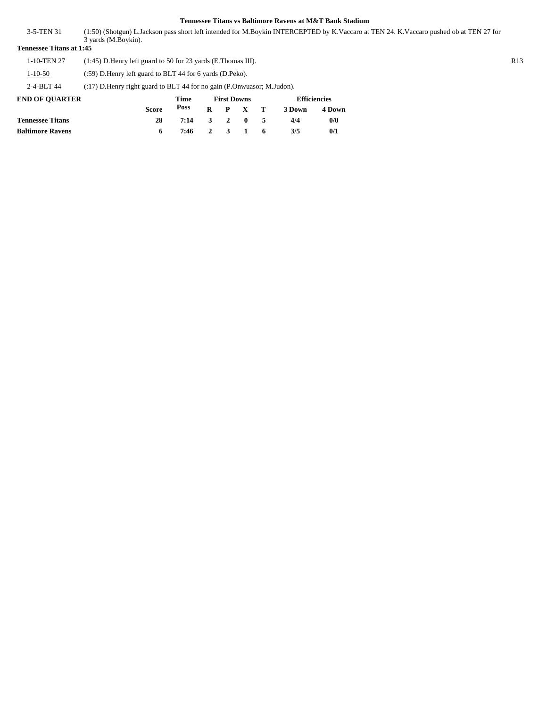(1:50) (Shotgun) L.Jackson pass short left intended for M.Boykin INTERCEPTED by K.Vaccaro at TEN 24. K.Vaccaro pushed ob at TEN 27 for 3 yards (M.Boykin). 3-5-TEN 31

**Tennessee Titans at 1:45**

1-10-TEN 27 (1:45) D.Henry left guard to 50 for 23 yards (E.Thomas III). R13

1-10-50 (:59) D.Henry left guard to BLT 44 for 6 yards (D.Peko).

2-4-BLT 44 (:17) D.Henry right guard to BLT 44 for no gain (P.Onwuasor; M.Judon).

| <b>END OF OUARTER</b>   |              | Time         |  | <b>First Downs</b> | <b>Efficiencies</b> |        |  |
|-------------------------|--------------|--------------|--|--------------------|---------------------|--------|--|
|                         | <b>Score</b> | Poss         |  | $R$ $P$ $X$ $T$    | 3 Down              | 4 Down |  |
| <b>Tennessee Titans</b> | 28           | 7:14 3 2 0 5 |  |                    | 4/4                 | 0/0    |  |
| <b>Baltimore Ravens</b> |              | 7:46 2 3 1 6 |  |                    | 3/5                 | 0/1    |  |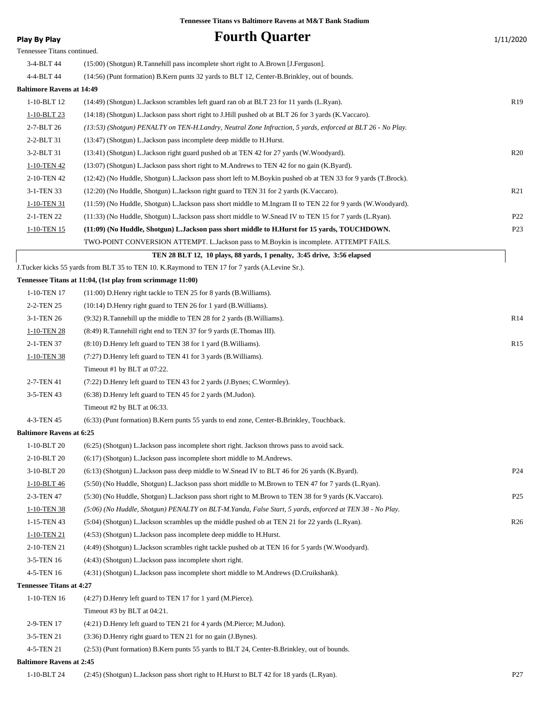|                                  | I CHHESSEE THAIIS VS DAIUINUI C INAVENS AL IVIX T-DAIIN SIAUIUIII                                             |                 |
|----------------------------------|---------------------------------------------------------------------------------------------------------------|-----------------|
| <b>Play By Play</b>              | <b>Fourth Quarter</b>                                                                                         | 1/11/2020       |
| Tennessee Titans continued.      |                                                                                                               |                 |
| 3-4-BLT 44                       | (15:00) (Shotgun) R.Tannehill pass incomplete short right to A.Brown [J.Ferguson].                            |                 |
| 4-4-BLT 44                       | (14:56) (Punt formation) B.Kern punts 32 yards to BLT 12, Center-B.Brinkley, out of bounds.                   |                 |
| <b>Baltimore Ravens at 14:49</b> |                                                                                                               |                 |
| 1-10-BLT 12                      | (14:49) (Shotgun) L.Jackson scrambles left guard ran ob at BLT 23 for 11 yards (L.Ryan).                      | R <sub>19</sub> |
| 1-10-BLT 23                      | (14:18) (Shotgun) L.Jackson pass short right to J.Hill pushed ob at BLT 26 for 3 yards (K.Vaccaro).           |                 |
| 2-7-BLT 26                       | (13:53) (Shotgun) PENALTY on TEN-H.Landry, Neutral Zone Infraction, 5 yards, enforced at BLT 26 - No Play.    |                 |
| 2-2-BLT 31                       | (13:47) (Shotgun) L. Jackson pass incomplete deep middle to H. Hurst.                                         |                 |
| 3-2-BLT 31                       | (13:41) (Shotgun) L.Jackson right guard pushed ob at TEN 42 for 27 yards (W.Woodyard).                        | R20             |
| 1-10-TEN 42                      | (13:07) (Shotgun) L.Jackson pass short right to M.Andrews to TEN 42 for no gain (K.Byard).                    |                 |
| 2-10-TEN 42                      | (12:42) (No Huddle, Shotgun) L.Jackson pass short left to M.Boykin pushed ob at TEN 33 for 9 yards (T.Brock). |                 |
| 3-1-TEN 33                       | (12:20) (No Huddle, Shotgun) L.Jackson right guard to TEN 31 for 2 yards (K.Vaccaro).                         | R <sub>21</sub> |
| 1-10-TEN 31                      | (11:59) (No Huddle, Shotgun) L.Jackson pass short middle to M.Ingram II to TEN 22 for 9 yards (W.Woodyard).   |                 |
| 2-1-TEN 22                       | (11:33) (No Huddle, Shotgun) L.Jackson pass short middle to W.Snead IV to TEN 15 for 7 yards (L.Ryan).        | P <sub>22</sub> |
| 1-10-TEN 15                      | (11:09) (No Huddle, Shotgun) L.Jackson pass short middle to H.Hurst for 15 yards, TOUCHDOWN.                  | P <sub>23</sub> |
|                                  | TWO-POINT CONVERSION ATTEMPT. L. Jackson pass to M. Boykin is incomplete. ATTEMPT FAILS.                      |                 |
|                                  | TEN 28 BLT 12, 10 plays, 88 yards, 1 penalty, 3:45 drive, 3:56 elapsed                                        |                 |
|                                  | J.Tucker kicks 55 yards from BLT 35 to TEN 10. K.Raymond to TEN 17 for 7 yards (A.Levine Sr.).                |                 |
|                                  | Tennessee Titans at 11:04, (1st play from scrimmage 11:00)                                                    |                 |
| 1-10-TEN 17                      | $(11:00)$ D. Henry right tackle to TEN 25 for 8 yards (B. Williams).                                          |                 |
| 2-2-TEN 25                       | $(10:14)$ D. Henry right guard to TEN 26 for 1 yard (B. Williams).                                            |                 |
| 3-1-TEN 26                       | (9:32) R. Tannehill up the middle to TEN 28 for 2 yards (B. Williams).                                        | R14             |
| 1-10-TEN 28                      | (8:49) R. Tannehill right end to TEN 37 for 9 yards (E. Thomas III).                                          |                 |
| 2-1-TEN 37                       | $(8:10)$ D. Henry left guard to TEN 38 for 1 yard $(B.$ Williams).                                            | R15             |
| 1-10-TEN 38                      | (7:27) D. Henry left guard to TEN 41 for 3 yards (B. Williams).                                               |                 |
|                                  | Timeout #1 by BLT at 07:22.                                                                                   |                 |
| 2-7-TEN 41                       | (7:22) D. Henry left guard to TEN 43 for 2 yards (J. Bynes; C. Wormley).                                      |                 |
| 3-5-TEN 43                       | (6:38) D.Henry left guard to TEN 45 for 2 yards (M.Judon).                                                    |                 |
|                                  | Timeout #2 by BLT at 06:33.                                                                                   |                 |
| 4-3-TEN 45                       | (6:33) (Punt formation) B.Kern punts 55 yards to end zone, Center-B.Brinkley, Touchback.                      |                 |
| <b>Baltimore Ravens at 6:25</b>  |                                                                                                               |                 |
| 1-10-BLT 20                      | (6:25) (Shotgun) L. Jackson pass incomplete short right. Jackson throws pass to avoid sack.                   |                 |
| 2-10-BLT 20                      | (6:17) (Shotgun) L.Jackson pass incomplete short middle to M.Andrews.                                         |                 |
| 3-10-BLT 20                      | (6.13) (Shotgun) L.Jackson pass deep middle to W.Snead IV to BLT 46 for 26 yards (K.Byard).                   | P <sub>24</sub> |
| 1-10-BLT 46                      | (5:50) (No Huddle, Shotgun) L.Jackson pass short middle to M.Brown to TEN 47 for 7 yards (L.Ryan).            |                 |
| 2-3-TEN 47                       | (5:30) (No Huddle, Shotgun) L.Jackson pass short right to M.Brown to TEN 38 for 9 yards (K.Vaccaro).          | P <sub>25</sub> |
| 1-10-TEN 38                      | (5:06) (No Huddle, Shotgun) PENALTY on BLT-M.Yanda, False Start, 5 yards, enforced at TEN 38 - No Play.       |                 |
| 1-15-TEN 43                      | (5:04) (Shotgun) L.Jackson scrambles up the middle pushed ob at TEN 21 for 22 yards (L.Ryan).                 | R <sub>26</sub> |
| 1-10-TEN 21                      | (4:53) (Shotgun) L.Jackson pass incomplete deep middle to H.Hurst.                                            |                 |
| 2-10-TEN 21                      | (4:49) (Shotgun) L.Jackson scrambles right tackle pushed ob at TEN 16 for 5 yards (W.Woodyard).               |                 |
| 3-5-TEN 16                       | (4:43) (Shotgun) L.Jackson pass incomplete short right.                                                       |                 |
| 4-5-TEN 16                       | (4:31) (Shotgun) L.Jackson pass incomplete short middle to M.Andrews (D.Cruikshank).                          |                 |
| <b>Tennessee Titans at 4:27</b>  |                                                                                                               |                 |
| 1-10-TEN 16                      | (4:27) D. Henry left guard to TEN 17 for 1 yard (M. Pierce).                                                  |                 |
|                                  | Timeout #3 by BLT at 04:21.                                                                                   |                 |
| 2-9-TEN 17                       | (4:21) D. Henry left guard to TEN 21 for 4 yards (M. Pierce; M. Judon).                                       |                 |
| 3-5-TEN 21                       | (3:36) D. Henry right guard to TEN 21 for no gain (J. Bynes).                                                 |                 |
| 4-5-TEN 21                       | (2:53) (Punt formation) B.Kern punts 55 yards to BLT 24, Center-B.Brinkley, out of bounds.                    |                 |
| <b>Baltimore Ravens at 2:45</b>  |                                                                                                               |                 |
|                                  |                                                                                                               |                 |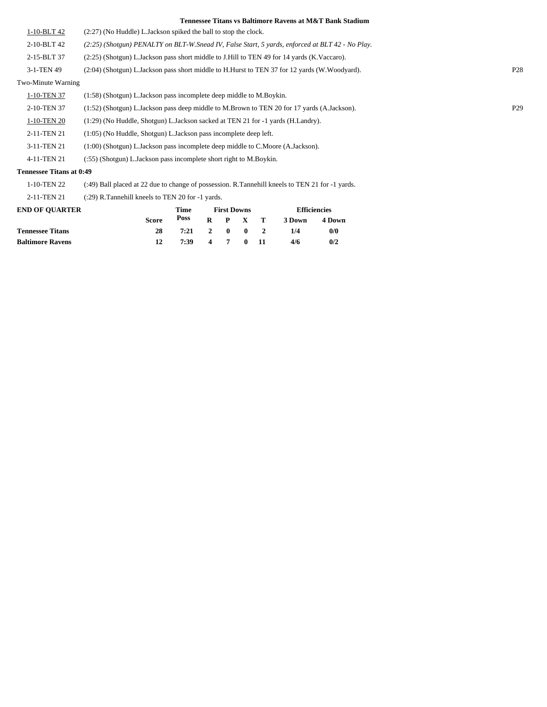|                    | Tennessee Thans vs Danmore Kavens at Mex I Daily Staufulli                                         |                 |
|--------------------|----------------------------------------------------------------------------------------------------|-----------------|
| $1 - 10 - BLT$ 42  | $(2:27)$ (No Huddle) L. Jackson spiked the ball to stop the clock.                                 |                 |
| 2-10-BLT 42        | $(2.25)$ (Shotgun) PENALTY on BLT-W. Snead IV, False Start, 5 yards, enforced at BLT 42 - No Play. |                 |
| 2-15-BLT 37        | (2.25) (Shotgun) L.Jackson pass short middle to J.Hill to TEN 49 for 14 yards (K.Vaccaro).         |                 |
| 3-1-TEN 49         | (2:04) (Shotgun) L.Jackson pass short middle to H.Hurst to TEN 37 for 12 yards (W.Woodyard).       | P <sub>28</sub> |
| Two-Minute Warning |                                                                                                    |                 |
| 1-10-TEN 37        | $(1:58)$ (Shotgun) L. Jackson pass incomplete deep middle to M. Boykin.                            |                 |
| 2-10-TEN 37        | (1.52) (Shotgun) L.Jackson pass deep middle to M.Brown to TEN 20 for 17 yards (A.Jackson).         | P <sub>29</sub> |
| 1-10-TEN 20        | (1:29) (No Huddle, Shotgun) L.Jackson sacked at TEN 21 for -1 yards (H.Landry).                    |                 |
| 2-11-TEN 21        | $(1:05)$ (No Huddle, Shotgun) L. Jackson pass incomplete deep left.                                |                 |
| 3-11-TEN 21        | $(1:00)$ (Shotgun) L.Jackson pass incomplete deep middle to C.Moore (A.Jackson).                   |                 |
| 4-11-TEN 21        | (:55) (Shotgun) L. Jackson pass incomplete short right to M. Boykin.                               |                 |
|                    |                                                                                                    |                 |

#### **Tennessee Titans at 0:49**

1-10-TEN 22 (:49) Ball placed at 22 due to change of possession. R.Tannehill kneels to TEN 21 for -1 yards.

2-11-TEN 21 (:29) R.Tannehill kneels to TEN 20 for -1 yards.

| <b>END OF OUARTER</b>   | Time  |      |   | <b>First Downs</b> |                 | <b>Efficiencies</b> |        |        |  |
|-------------------------|-------|------|---|--------------------|-----------------|---------------------|--------|--------|--|
|                         | Score | Poss |   |                    | $R$ $P$ $X$ $T$ |                     | 3 Down | 4 Down |  |
| <b>Tennessee Titans</b> | 28    | 7:21 |   | 2 0                | $\mathbf{0}$    |                     | 1/4    | 0/0    |  |
| <b>Baltimore Ravens</b> | 12    | 7:39 | 4 | $\overline{7}$     |                 | $0 \t11$            | 4/6    | 0/2    |  |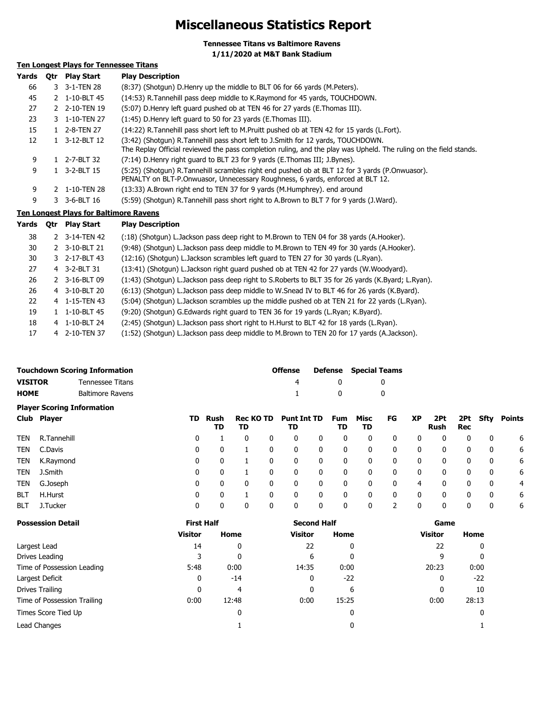## **Miscellaneous Statistics Report**

**Tennessee Titans vs Baltimore Ravens 1/11/2020 at M&T Bank Stadium**

### **Ten Longest Plays for Tennessee Titans**

| Yards | 0tr | <b>Play Start</b> | <b>Play Description</b>                                                                                                                                                                               |
|-------|-----|-------------------|-------------------------------------------------------------------------------------------------------------------------------------------------------------------------------------------------------|
| 66    |     | 3 3-1-TEN 28      | (8:37) (Shotgun) D. Henry up the middle to BLT 06 for 66 yards (M. Peters).                                                                                                                           |
| 45    |     | 2 1-10-BLT 45     | (14:53) R.Tannehill pass deep middle to K.Raymond for 45 yards, TOUCHDOWN.                                                                                                                            |
| 27    |     | 2 2-10-TEN 19     | (5:07) D. Henry left quard pushed ob at TEN 46 for 27 yards (E. Thomas III).                                                                                                                          |
| 23    |     | 3 1-10-TEN 27     | (1:45) D. Henry left guard to 50 for 23 yards (E. Thomas III).                                                                                                                                        |
| 15    |     | 2-8-TEN 27        | (14:22) R.Tannehill pass short left to M.Pruitt pushed ob at TEN 42 for 15 yards (L.Fort).                                                                                                            |
| 12    |     | 3-12-BLT 12       | (3:42) (Shotqun) R.Tannehill pass short left to J.Smith for 12 yards, TOUCHDOWN.<br>The Replay Official reviewed the pass completion ruling, and the play was Upheld. The ruling on the field stands. |
| 9     | 1.  | 2-7-BLT 32        | (7:14) D.Henry right guard to BLT 23 for 9 yards (E.Thomas III; J.Bynes).                                                                                                                             |
| 9     |     | 3-2-BLT 15        | (5:25) (Shotgun) R.Tannehill scrambles right end pushed ob at BLT 12 for 3 yards (P.Onwuasor).<br>PENALTY on BLT-P.Onwuasor, Unnecessary Roughness, 6 yards, enforced at BLT 12.                      |
| 9     |     | 2 1-10-TEN 28     | (13:33) A.Brown right end to TEN 37 for 9 yards (M.Humphrey). end around                                                                                                                              |
| 9     |     | 3-6-BLT 16        | (5:59) (Shotgun) R.Tannehill pass short right to A.Brown to BLT 7 for 9 yards (J.Ward).                                                                                                               |

#### **Ten Longest Plays for Baltimore Ravens**

| Yards | Qtr | <b>Play Start</b> | <b>Play Description</b>                                                                           |
|-------|-----|-------------------|---------------------------------------------------------------------------------------------------|
| 38    |     | 2 3-14-TEN 42     | (:18) (Shotgun) L.Jackson pass deep right to M.Brown to TEN 04 for 38 yards (A.Hooker).           |
| 30    |     | 2 3-10-BLT 21     | (9:48) (Shotgun) L.Jackson pass deep middle to M.Brown to TEN 49 for 30 yards (A.Hooker).         |
| 30    |     | 3 2-17-BLT 43     | (12:16) (Shotgun) L.Jackson scrambles left quard to TEN 27 for 30 yards (L.Ryan).                 |
| 27    |     | 4 3-2-BLT 31      | (13:41) (Shotgun) L.Jackson right quard pushed ob at TEN 42 for 27 yards (W.Woodyard).            |
| 26    |     | 2 3-16-BLT 09     | (1:43) (Shotgun) L.Jackson pass deep right to S.Roberts to BLT 35 for 26 yards (K.Byard; L.Ryan). |
| 26    |     | 4 3-10-BLT 20     | (6:13) (Shotgun) L.Jackson pass deep middle to W.Snead IV to BLT 46 for 26 yards (K.Byard).       |
| 22    |     | 4 1-15-TEN 43     | (5:04) (Shotgun) L.Jackson scrambles up the middle pushed ob at TEN 21 for 22 yards (L.Ryan).     |
| 19    |     | 1-10-BLT 45       | (9:20) (Shotgun) G.Edwards right guard to TEN 36 for 19 yards (L.Ryan; K.Byard).                  |
| 18    |     | 4 1-10-BLT 24     | (2:45) (Shotgun) L.Jackson pass short right to H.Hurst to BLT 42 for 18 yards (L.Ryan).           |
| 17    |     | 4 2-10-TEN 37     | (1:52) (Shotgun) L.Jackson pass deep middle to M.Brown to TEN 20 for 17 yards (A.Jackson).        |

|             | Touchdown Scoring Information | <b>Offense</b> |              | <b>Defense</b> Special Teams |
|-------------|-------------------------------|----------------|--------------|------------------------------|
| VISITOR     | Tennessee Titans              |                |              |                              |
| <b>HOME</b> | Baltimore Ravens              |                | $\mathbf{u}$ |                              |

|            | <b>Player Scoring Information</b> |     |            |                        |   |                          |   |           |            |              |              |             |              |      |        |
|------------|-----------------------------------|-----|------------|------------------------|---|--------------------------|---|-----------|------------|--------------|--------------|-------------|--------------|------|--------|
|            | Club Player                       | TD. | Rush<br>TD | <b>Rec KO TD</b><br>TD |   | <b>Punt Int TD</b><br>TD |   | Fum<br>TD | Misc<br>TD | FG           | ХP           | 2Pt<br>Rush | 2Pt<br>Rec   | Sfty | Points |
| TEN        | R.Tannehill                       | 0   |            | 0                      |   | 0                        | 0 | 0         | 0          |              |              | 0           | 0            | 0    | 6      |
| TEN        | C.Davis                           | 0   |            |                        |   | 0                        | 0 | 0         | 0          | 0            | $\mathbf 0$  | 0           | 0            | 0    | 6      |
| TEN        | K.Raymond                         | 0   | 0          |                        |   | 0                        | 0 | 0         | $\Omega$   | 0            | $\mathbf{0}$ | 0           | $\mathbf{0}$ | 0    | 6      |
| TEN        | J.Smith                           | 0   | 0          |                        |   | 0                        | 0 | 0         | 0          | $\mathbf{0}$ | $\mathbf{0}$ | 0           | $\mathbf{0}$ | 0    | 6      |
| TEN        | G.Joseph                          | 0   | 0          | 0                      | 0 | 0                        | 0 | 0         | 0          | 0            | 4            | 0           | 0            | 0    | 4      |
| <b>BLT</b> | H.Hurst                           | 0   | 0          |                        |   | 0                        | 0 | 0         | 0          | 0            | 0            | 0           | 0            | 0    | 6      |
| <b>BLT</b> | J.Tucker                          | 0   |            | 0                      |   | 0                        | 0 | 0         | 0          |              | 0            | 0           | 0            | 0    | 6      |

| <b>Possession Detail</b>    | <b>First Half</b> |       | <b>Second Half</b> |       | Game           |       |
|-----------------------------|-------------------|-------|--------------------|-------|----------------|-------|
|                             | <b>Visitor</b>    | Home  | Visitor            | Home  | <b>Visitor</b> | Home  |
| Largest Lead                | 14                | 0     | 22                 | 0     | 22             | 0     |
| Drives Leading              |                   | 0     | 6                  | 0     |                | 0     |
| Time of Possession Leading  | 5:48              | 0:00  | 14:35              | 0:00  | 20:23          | 0:00  |
| Largest Deficit             | 0                 | $-14$ | 0                  | $-22$ | 0              | $-22$ |
| Drives Trailing             | 0                 | 4     |                    | 6     | 0              | 10    |
| Time of Possession Trailing | 0:00              | 12:48 | 0:00               | 15:25 | 0:00           | 28:13 |
| Times Score Tied Up         |                   | 0     |                    | 0     |                |       |
| Lead Changes                |                   |       |                    | 0     |                |       |